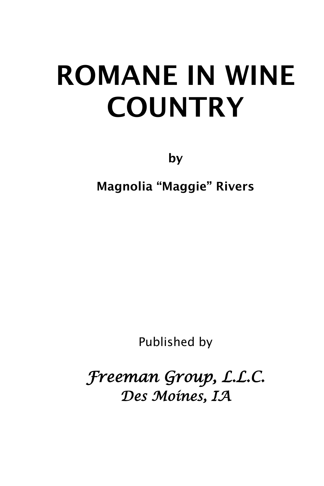# ROMANE IN WINE **COUNTRY**

by

Magnolia "Maggie" Rivers

Published by

*Freeman Group, L.L.C. Des Moines, IA*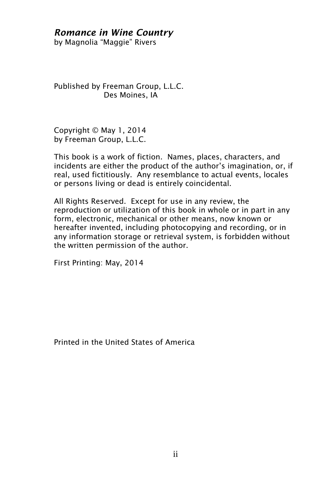#### *Romance in Wine Country*

by Magnolia "Maggie" Rivers

Published by Freeman Group, L.L.C. Des Moines, IA

Copyright © May 1, 2014 by Freeman Group, L.L.C.

This book is a work of fiction. Names, places, characters, and incidents are either the product of the author's imagination, or, if real, used fictitiously. Any resemblance to actual events, locales or persons living or dead is entirely coincidental.

All Rights Reserved. Except for use in any review, the reproduction or utilization of this book in whole or in part in any form, electronic, mechanical or other means, now known or hereafter invented, including photocopying and recording, or in any information storage or retrieval system, is forbidden without the written permission of the author.

First Printing: May, 2014

Printed in the United States of America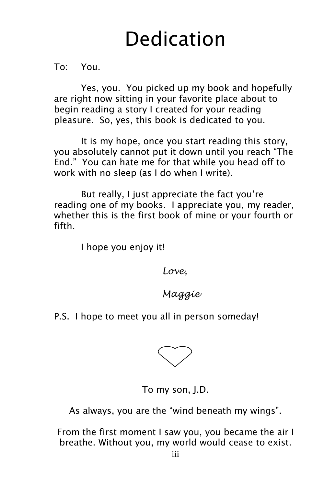# Dedication

To: You.

Yes, you. You picked up my book and hopefully are right now sitting in your favorite place about to begin reading a story I created for your reading pleasure. So, yes, this book is dedicated to you.

It is my hope, once you start reading this story, you absolutely cannot put it down until you reach "The End." You can hate me for that while you head off to work with no sleep (as I do when I write).

But really, I just appreciate the fact you're reading one of my books. I appreciate you, my reader, whether this is the first book of mine or your fourth or fifth.

I hope you enjoy it!

*Love,*

*Maggie*

#### P.S. I hope to meet you all in person someday!



To my son, J.D.

As always, you are the "wind beneath my wings".

From the first moment I saw you, you became the air I breathe. Without you, my world would cease to exist.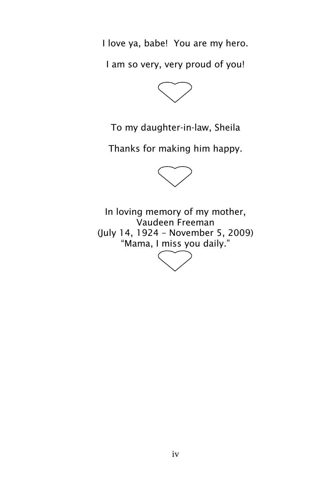I love ya, babe! You are my hero.

I am so very, very proud of you!



To my daughter-in-law, Sheila

Thanks for making him happy.



In loving memory of my mother, Vaudeen Freeman (July 14, 1924 – November 5, 2009) "Mama, I miss you daily."

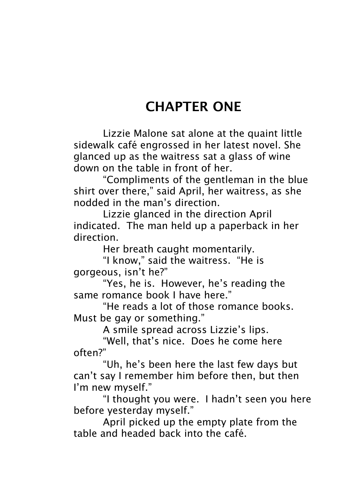# CHAPTER ONE

Lizzie Malone sat alone at the quaint little sidewalk café engrossed in her latest novel. She glanced up as the waitress sat a glass of wine down on the table in front of her.

"Compliments of the gentleman in the blue shirt over there," said April, her waitress, as she nodded in the man's direction.

Lizzie glanced in the direction April indicated. The man held up a paperback in her direction.

Her breath caught momentarily.

"I know," said the waitress. "He is gorgeous, isn't he?"

"Yes, he is. However, he's reading the same romance book I have here."

"He reads a lot of those romance books. Must be gay or something."

A smile spread across Lizzie's lips.

"Well, that's nice. Does he come here often?"

"Uh, he's been here the last few days but can't say I remember him before then, but then I'm new myself."

"I thought you were. I hadn't seen you here before yesterday myself."

April picked up the empty plate from the table and headed back into the café.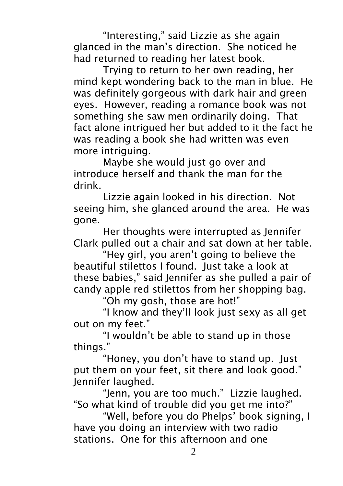"Interesting," said Lizzie as she again glanced in the man's direction. She noticed he had returned to reading her latest book.

Trying to return to her own reading, her mind kept wondering back to the man in blue. He was definitely gorgeous with dark hair and green eyes. However, reading a romance book was not something she saw men ordinarily doing. That fact alone intrigued her but added to it the fact he was reading a book she had written was even more intriguing.

Maybe she would just go over and introduce herself and thank the man for the drink.

Lizzie again looked in his direction. Not seeing him, she glanced around the area. He was gone.

Her thoughts were interrupted as Jennifer Clark pulled out a chair and sat down at her table.

"Hey girl, you aren't going to believe the beautiful stilettos I found. Just take a look at these babies," said Jennifer as she pulled a pair of candy apple red stilettos from her shopping bag.

"Oh my gosh, those are hot!"

"I know and they'll look just sexy as all get out on my feet."

"I wouldn't be able to stand up in those things."

"Honey, you don't have to stand up. Just put them on your feet, sit there and look good." Jennifer laughed.

"Jenn, you are too much." Lizzie laughed. "So what kind of trouble did you get me into?"

"Well, before you do Phelps' book signing, I have you doing an interview with two radio stations. One for this afternoon and one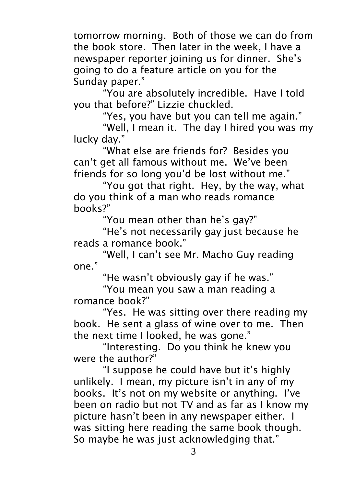tomorrow morning. Both of those we can do from the book store. Then later in the week, I have a newspaper reporter joining us for dinner. She's going to do a feature article on you for the Sunday paper."

"You are absolutely incredible. Have I told you that before?" Lizzie chuckled.

"Yes, you have but you can tell me again."

"Well, I mean it. The day I hired you was my lucky day."

"What else are friends for? Besides you can't get all famous without me. We've been friends for so long you'd be lost without me."

"You got that right. Hey, by the way, what do you think of a man who reads romance books?"

"You mean other than he's gay?"

"He's not necessarily gay just because he reads a romance book."

"Well, I can't see Mr. Macho Guy reading one."

"He wasn't obviously gay if he was."

"You mean you saw a man reading a romance book?"

"Yes. He was sitting over there reading my book. He sent a glass of wine over to me. Then the next time I looked, he was gone."

"Interesting. Do you think he knew you were the author?"

"I suppose he could have but it's highly unlikely. I mean, my picture isn't in any of my books. It's not on my website or anything. I've been on radio but not TV and as far as I know my picture hasn't been in any newspaper either. I was sitting here reading the same book though. So maybe he was just acknowledging that."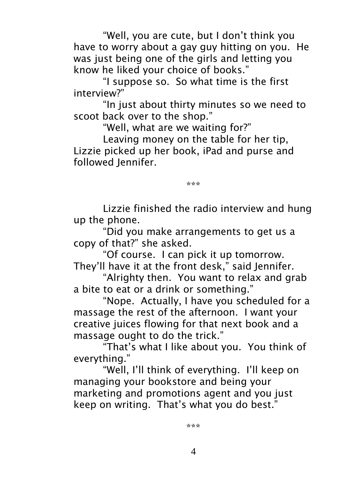"Well, you are cute, but I don't think you have to worry about a gay guy hitting on you. He was just being one of the girls and letting you know he liked your choice of books."

"I suppose so. So what time is the first interview?"

"In just about thirty minutes so we need to scoot back over to the shop."

"Well, what are we waiting for?"

Leaving money on the table for her tip, Lizzie picked up her book, iPad and purse and followed Jennifer.

\*\*\*

Lizzie finished the radio interview and hung up the phone.

"Did you make arrangements to get us a copy of that?" she asked.

"Of course. I can pick it up tomorrow. They'll have it at the front desk," said Jennifer.

"Alrighty then. You want to relax and grab a bite to eat or a drink or something."

"Nope. Actually, I have you scheduled for a massage the rest of the afternoon. I want your creative juices flowing for that next book and a massage ought to do the trick."

"That's what I like about you. You think of everything."

"Well, I'll think of everything. I'll keep on managing your bookstore and being your marketing and promotions agent and you just keep on writing. That's what you do best."

\*\*\*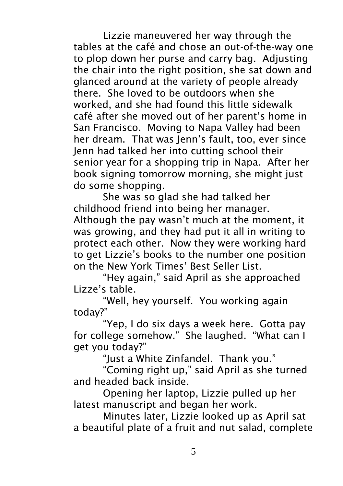Lizzie maneuvered her way through the tables at the café and chose an out-of-the-way one to plop down her purse and carry bag. Adjusting the chair into the right position, she sat down and glanced around at the variety of people already there. She loved to be outdoors when she worked, and she had found this little sidewalk café after she moved out of her parent's home in San Francisco. Moving to Napa Valley had been her dream. That was Jenn's fault, too, ever since Jenn had talked her into cutting school their senior year for a shopping trip in Napa. After her book signing tomorrow morning, she might just do some shopping.

She was so glad she had talked her childhood friend into being her manager. Although the pay wasn't much at the moment, it was growing, and they had put it all in writing to protect each other. Now they were working hard to get Lizzie's books to the number one position on the New York Times' Best Seller List.

"Hey again," said April as she approached Lizze's table.

"Well, hey yourself. You working again today?"

"Yep, I do six days a week here. Gotta pay for college somehow." She laughed. "What can I get you today?"

"Just a White Zinfandel. Thank you."

"Coming right up," said April as she turned and headed back inside.

Opening her laptop, Lizzie pulled up her latest manuscript and began her work.

Minutes later, Lizzie looked up as April sat a beautiful plate of a fruit and nut salad, complete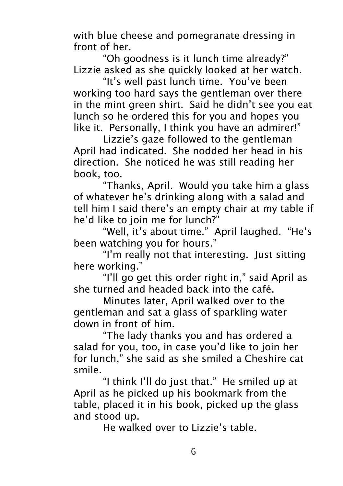with blue cheese and pomegranate dressing in front of her.

"Oh goodness is it lunch time already?" Lizzie asked as she quickly looked at her watch.

"It's well past lunch time. You've been working too hard says the gentleman over there in the mint green shirt. Said he didn't see you eat lunch so he ordered this for you and hopes you like it. Personally, I think you have an admirer!"

Lizzie's gaze followed to the gentleman April had indicated. She nodded her head in his direction. She noticed he was still reading her book, too.

"Thanks, April. Would you take him a glass of whatever he's drinking along with a salad and tell him I said there's an empty chair at my table if he'd like to join me for lunch?"

"Well, it's about time." April laughed. "He's been watching you for hours."

"I'm really not that interesting. Just sitting here working."

"I'll go get this order right in," said April as she turned and headed back into the café.

Minutes later, April walked over to the gentleman and sat a glass of sparkling water down in front of him.

"The lady thanks you and has ordered a salad for you, too, in case you'd like to join her for lunch," she said as she smiled a Cheshire cat smile.

"I think I'll do just that." He smiled up at April as he picked up his bookmark from the table, placed it in his book, picked up the glass and stood up.

He walked over to Lizzie's table.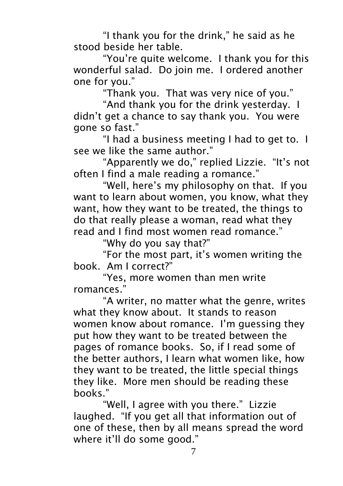"I thank you for the drink," he said as he stood beside her table.

"You're quite welcome. I thank you for this wonderful salad. Do join me. I ordered another one for you."

"Thank you. That was very nice of you."

"And thank you for the drink yesterday. I didn't get a chance to say thank you. You were gone so fast."

"I had a business meeting I had to get to. I see we like the same author."

"Apparently we do," replied Lizzie. "It's not often I find a male reading a romance."

"Well, here's my philosophy on that. If you want to learn about women, you know, what they want, how they want to be treated, the things to do that really please a woman, read what they read and I find most women read romance."

"Why do you say that?"

"For the most part, it's women writing the book. Am I correct?"

"Yes, more women than men write romances."

"A writer, no matter what the genre, writes what they know about. It stands to reason women know about romance. I'm guessing they put how they want to be treated between the pages of romance books. So, if I read some of the better authors, I learn what women like, how they want to be treated, the little special things they like. More men should be reading these books."

"Well, I agree with you there." Lizzie laughed. "If you get all that information out of one of these, then by all means spread the word where it'll do some good."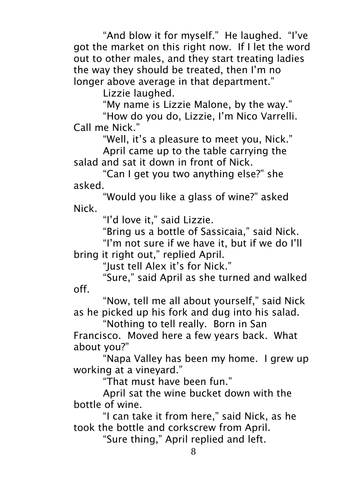"And blow it for myself." He laughed. "I've got the market on this right now. If I let the word out to other males, and they start treating ladies the way they should be treated, then I'm no longer above average in that department."

Lizzie laughed.

"My name is Lizzie Malone, by the way."

"How do you do, Lizzie, I'm Nico Varrelli. Call me Nick."

"Well, it's a pleasure to meet you, Nick." April came up to the table carrying the

salad and sat it down in front of Nick.

"Can I get you two anything else?" she asked.

"Would you like a glass of wine?" asked Nick.

"I'd love it," said Lizzie.

"Bring us a bottle of Sassicaia," said Nick.

"I'm not sure if we have it, but if we do I'll bring it right out," replied April.

"Just tell Alex it's for Nick."

"Sure," said April as she turned and walked off.

"Now, tell me all about yourself," said Nick as he picked up his fork and dug into his salad.

"Nothing to tell really. Born in San Francisco. Moved here a few years back. What about you?"

"Napa Valley has been my home. I grew up working at a vineyard."

"That must have been fun."

April sat the wine bucket down with the bottle of wine.

"I can take it from here," said Nick, as he took the bottle and corkscrew from April.

"Sure thing," April replied and left.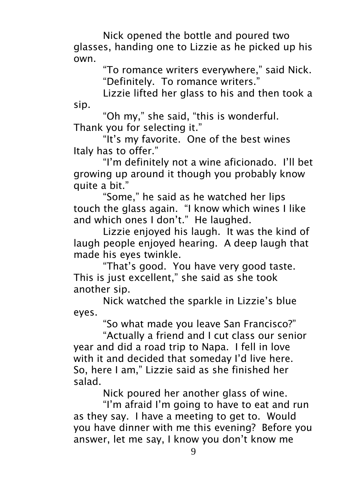Nick opened the bottle and poured two glasses, handing one to Lizzie as he picked up his own.

"To romance writers everywhere," said Nick. "Definitely. To romance writers."

Lizzie lifted her glass to his and then took a sip.

"Oh my," she said, "this is wonderful. Thank you for selecting it."

"It's my favorite. One of the best wines Italy has to offer."

"I'm definitely not a wine aficionado. I'll bet growing up around it though you probably know quite a bit."

"Some," he said as he watched her lips touch the glass again. "I know which wines I like and which ones I don't." He laughed.

Lizzie enjoyed his laugh. It was the kind of laugh people enjoyed hearing. A deep laugh that made his eyes twinkle.

"That's good. You have very good taste. This is just excellent," she said as she took another sip.

Nick watched the sparkle in Lizzie's blue eyes.

"So what made you leave San Francisco?"

"Actually a friend and I cut class our senior year and did a road trip to Napa. I fell in love with it and decided that someday I'd live here. So, here I am," Lizzie said as she finished her salad.

Nick poured her another glass of wine.

"I'm afraid I'm going to have to eat and run as they say. I have a meeting to get to. Would you have dinner with me this evening? Before you answer, let me say, I know you don't know me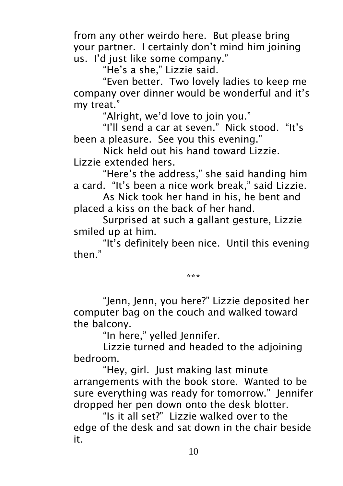from any other weirdo here. But please bring your partner. I certainly don't mind him joining us. I'd just like some company."

"He's a she," Lizzie said.

"Even better. Two lovely ladies to keep me company over dinner would be wonderful and it's my treat."

"Alright, we'd love to join you."

"I'll send a car at seven." Nick stood. "It's been a pleasure. See you this evening."

Nick held out his hand toward Lizzie. Lizzie extended hers.

"Here's the address," she said handing him a card. "It's been a nice work break," said Lizzie.

As Nick took her hand in his, he bent and placed a kiss on the back of her hand.

Surprised at such a gallant gesture, Lizzie smiled up at him.

"It's definitely been nice. Until this evening then."

\*\*\*

"Jenn, Jenn, you here?" Lizzie deposited her computer bag on the couch and walked toward the balcony.

"In here," yelled Jennifer.

Lizzie turned and headed to the adjoining bedroom.

"Hey, girl. Just making last minute arrangements with the book store. Wanted to be sure everything was ready for tomorrow." Jennifer dropped her pen down onto the desk blotter.

"Is it all set?" Lizzie walked over to the edge of the desk and sat down in the chair beside it.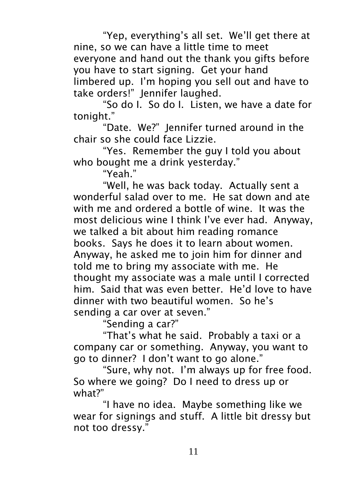"Yep, everything's all set. We'll get there at nine, so we can have a little time to meet everyone and hand out the thank you gifts before you have to start signing. Get your hand limbered up. I'm hoping you sell out and have to take orders!" Jennifer laughed.

"So do I. So do I. Listen, we have a date for tonight."

"Date. We?" Jennifer turned around in the chair so she could face Lizzie.

"Yes. Remember the guy I told you about who bought me a drink yesterday."

"Yeah."

"Well, he was back today. Actually sent a wonderful salad over to me. He sat down and ate with me and ordered a bottle of wine. It was the most delicious wine I think I've ever had. Anyway, we talked a bit about him reading romance books. Says he does it to learn about women. Anyway, he asked me to join him for dinner and told me to bring my associate with me. He thought my associate was a male until I corrected him. Said that was even better. He'd love to have dinner with two beautiful women. So he's sending a car over at seven."

"Sending a car?"

"That's what he said. Probably a taxi or a company car or something. Anyway, you want to go to dinner? I don't want to go alone."

"Sure, why not. I'm always up for free food. So where we going? Do I need to dress up or what?"

"I have no idea. Maybe something like we wear for signings and stuff. A little bit dressy but not too dressy."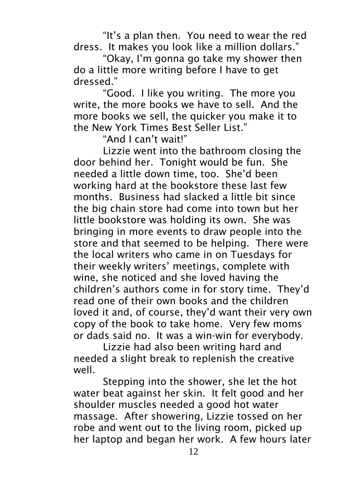"It's a plan then. You need to wear the red dress. It makes you look like a million dollars."

"Okay, I'm gonna go take my shower then do a little more writing before I have to get dressed."

"Good. I like you writing. The more you write, the more books we have to sell. And the more books we sell, the quicker you make it to the New York Times Best Seller List."

"And I can't wait!"

Lizzie went into the bathroom closing the door behind her. Tonight would be fun. She needed a little down time, too. She'd been working hard at the bookstore these last few months. Business had slacked a little bit since the big chain store had come into town but her little bookstore was holding its own. She was bringing in more events to draw people into the store and that seemed to be helping. There were the local writers who came in on Tuesdays for their weekly writers' meetings, complete with wine, she noticed and she loved having the children's authors come in for story time. They'd read one of their own books and the children loved it and, of course, they'd want their very own copy of the book to take home. Very few moms or dads said no. It was a win-win for everybody.

Lizzie had also been writing hard and needed a slight break to replenish the creative well.

Stepping into the shower, she let the hot water beat against her skin. It felt good and her shoulder muscles needed a good hot water massage. After showering, Lizzie tossed on her robe and went out to the living room, picked up her laptop and began her work. A few hours later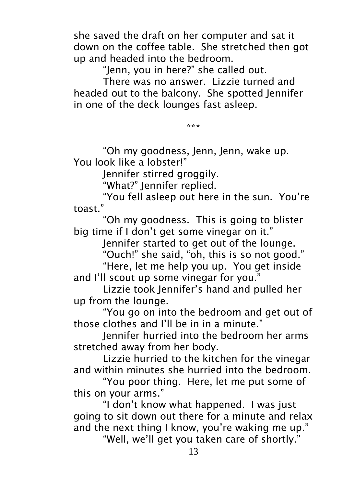she saved the draft on her computer and sat it down on the coffee table. She stretched then got up and headed into the bedroom.

"Jenn, you in here?" she called out.

There was no answer. Lizzie turned and headed out to the balcony. She spotted Jennifer in one of the deck lounges fast asleep.

\*\*\*

"Oh my goodness, Jenn, Jenn, wake up. You look like a lobster!"

Jennifer stirred groggily.

"What?" Jennifer replied.

"You fell asleep out here in the sun. You're toast."

"Oh my goodness. This is going to blister big time if I don't get some vinegar on it."

Jennifer started to get out of the lounge.

"Ouch!" she said, "oh, this is so not good."

"Here, let me help you up. You get inside and I'll scout up some vinegar for you."

Lizzie took Jennifer's hand and pulled her up from the lounge.

"You go on into the bedroom and get out of those clothes and I'll be in in a minute."

Jennifer hurried into the bedroom her arms stretched away from her body.

Lizzie hurried to the kitchen for the vinegar and within minutes she hurried into the bedroom.

"You poor thing. Here, let me put some of this on your arms."

"I don't know what happened. I was just going to sit down out there for a minute and relax and the next thing I know, you're waking me up."

"Well, we'll get you taken care of shortly."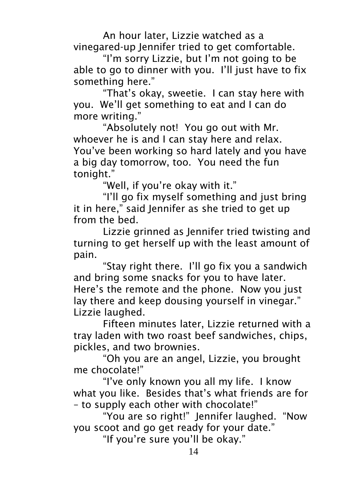An hour later, Lizzie watched as a vinegared-up Jennifer tried to get comfortable.

"I'm sorry Lizzie, but I'm not going to be able to go to dinner with you. I'll just have to fix something here."

"That's okay, sweetie. I can stay here with you. We'll get something to eat and I can do more writing."

"Absolutely not! You go out with Mr. whoever he is and I can stay here and relax. You've been working so hard lately and you have a big day tomorrow, too. You need the fun tonight."

"Well, if you're okay with it."

"I'll go fix myself something and just bring it in here," said Jennifer as she tried to get up from the bed.

Lizzie grinned as Jennifer tried twisting and turning to get herself up with the least amount of pain.

"Stay right there. I'll go fix you a sandwich and bring some snacks for you to have later. Here's the remote and the phone. Now you just lay there and keep dousing yourself in vinegar." Lizzie laughed.

Fifteen minutes later, Lizzie returned with a tray laden with two roast beef sandwiches, chips, pickles, and two brownies.

"Oh you are an angel, Lizzie, you brought me chocolate!"

"I've only known you all my life. I know what you like. Besides that's what friends are for – to supply each other with chocolate!"

"You are so right!" Jennifer laughed. "Now you scoot and go get ready for your date."

"If you're sure you'll be okay."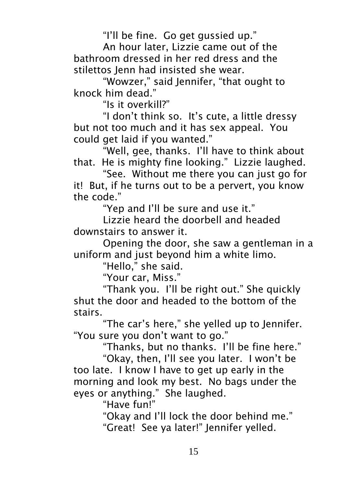"I'll be fine. Go get gussied up."

An hour later, Lizzie came out of the bathroom dressed in her red dress and the stilettos Jenn had insisted she wear.

"Wowzer," said Jennifer, "that ought to knock him dead."

"Is it overkill?"

"I don't think so. It's cute, a little dressy but not too much and it has sex appeal. You could get laid if you wanted."

"Well, gee, thanks. I'll have to think about that. He is mighty fine looking." Lizzie laughed.

"See. Without me there you can just go for it! But, if he turns out to be a pervert, you know the code."

"Yep and I'll be sure and use it."

Lizzie heard the doorbell and headed downstairs to answer it.

Opening the door, she saw a gentleman in a uniform and just beyond him a white limo.

"Hello," she said.

"Your car, Miss."

"Thank you. I'll be right out." She quickly shut the door and headed to the bottom of the stairs.

"The car's here," she yelled up to Jennifer. "You sure you don't want to go."

"Thanks, but no thanks. I'll be fine here."

"Okay, then, I'll see you later. I won't be too late. I know I have to get up early in the morning and look my best. No bags under the eyes or anything." She laughed.

"Have fun!"

"Okay and I'll lock the door behind me." "Great! See ya later!" Jennifer yelled.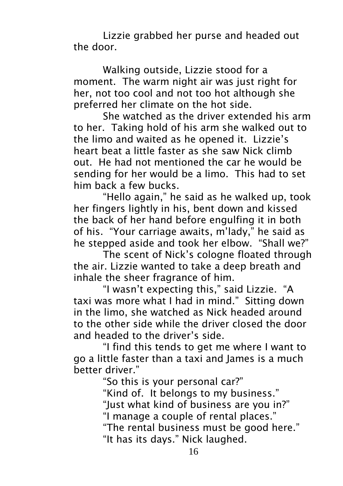Lizzie grabbed her purse and headed out the door.

Walking outside, Lizzie stood for a moment. The warm night air was just right for her, not too cool and not too hot although she preferred her climate on the hot side.

She watched as the driver extended his arm to her. Taking hold of his arm she walked out to the limo and waited as he opened it. Lizzie's heart beat a little faster as she saw Nick climb out. He had not mentioned the car he would be sending for her would be a limo. This had to set him back a few bucks.

"Hello again," he said as he walked up, took her fingers lightly in his, bent down and kissed the back of her hand before engulfing it in both of his. "Your carriage awaits, m'lady," he said as he stepped aside and took her elbow. "Shall we?"

The scent of Nick's cologne floated through the air. Lizzie wanted to take a deep breath and inhale the sheer fragrance of him.

"I wasn't expecting this," said Lizzie. "A taxi was more what I had in mind." Sitting down in the limo, she watched as Nick headed around to the other side while the driver closed the door and headed to the driver's side.

"I find this tends to get me where I want to go a little faster than a taxi and James is a much better driver."

"So this is your personal car?" "Kind of. It belongs to my business." "Just what kind of business are you in?" "I manage a couple of rental places." "The rental business must be good here." "It has its days." Nick laughed.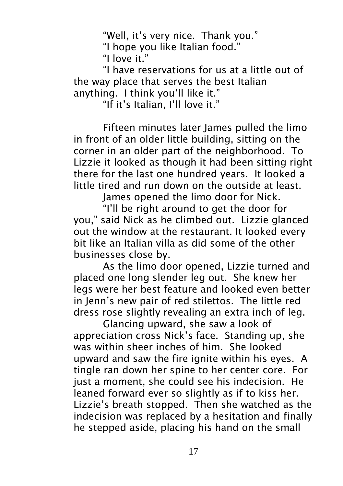"Well, it's very nice. Thank you."

"I hope you like Italian food."

"I love it."

"I have reservations for us at a little out of the way place that serves the best Italian anything. I think you'll like it."

"If it's Italian, I'll love it."

Fifteen minutes later lames pulled the limo in front of an older little building, sitting on the corner in an older part of the neighborhood. To Lizzie it looked as though it had been sitting right there for the last one hundred years. It looked a little tired and run down on the outside at least.

James opened the limo door for Nick.

"I'll be right around to get the door for you," said Nick as he climbed out. Lizzie glanced out the window at the restaurant. It looked every bit like an Italian villa as did some of the other businesses close by.

As the limo door opened, Lizzie turned and placed one long slender leg out. She knew her legs were her best feature and looked even better in Jenn's new pair of red stilettos. The little red dress rose slightly revealing an extra inch of leg.

Glancing upward, she saw a look of appreciation cross Nick's face. Standing up, she was within sheer inches of him. She looked upward and saw the fire ignite within his eyes. A tingle ran down her spine to her center core. For just a moment, she could see his indecision. He leaned forward ever so slightly as if to kiss her. Lizzie's breath stopped. Then she watched as the indecision was replaced by a hesitation and finally he stepped aside, placing his hand on the small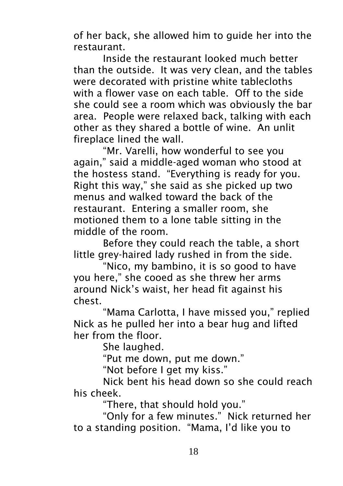of her back, she allowed him to guide her into the restaurant.

Inside the restaurant looked much better than the outside. It was very clean, and the tables were decorated with pristine white tablecloths with a flower vase on each table. Off to the side she could see a room which was obviously the bar area. People were relaxed back, talking with each other as they shared a bottle of wine. An unlit fireplace lined the wall.

"Mr. Varelli, how wonderful to see you again," said a middle-aged woman who stood at the hostess stand. "Everything is ready for you. Right this way," she said as she picked up two menus and walked toward the back of the restaurant. Entering a smaller room, she motioned them to a lone table sitting in the middle of the room.

Before they could reach the table, a short little grey-haired lady rushed in from the side.

"Nico, my bambino, it is so good to have you here," she cooed as she threw her arms around Nick's waist, her head fit against his chest.

"Mama Carlotta, I have missed you," replied Nick as he pulled her into a bear hug and lifted her from the floor.

She laughed.

"Put me down, put me down."

"Not before I get my kiss."

Nick bent his head down so she could reach his cheek.

"There, that should hold you."

"Only for a few minutes." Nick returned her to a standing position. "Mama, I'd like you to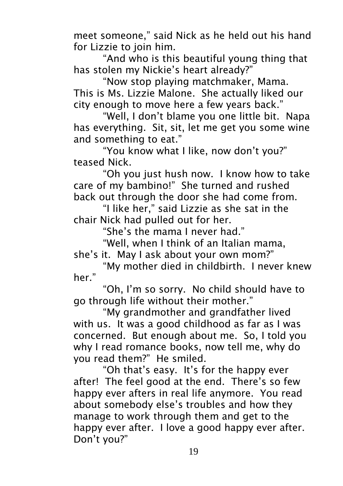meet someone," said Nick as he held out his hand for Lizzie to join him.

"And who is this beautiful young thing that has stolen my Nickie's heart already?"

"Now stop playing matchmaker, Mama. This is Ms. Lizzie Malone. She actually liked our city enough to move here a few years back."

"Well, I don't blame you one little bit. Napa has everything. Sit, sit, let me get you some wine and something to eat."

"You know what I like, now don't you?" teased Nick.

"Oh you just hush now. I know how to take care of my bambino!" She turned and rushed back out through the door she had come from.

"I like her," said Lizzie as she sat in the chair Nick had pulled out for her.

"She's the mama I never had."

"Well, when I think of an Italian mama, she's it. May I ask about your own mom?"

"My mother died in childbirth. I never knew her."

"Oh, I'm so sorry. No child should have to go through life without their mother."

"My grandmother and grandfather lived with us. It was a good childhood as far as I was concerned. But enough about me. So, I told you why I read romance books, now tell me, why do you read them?" He smiled.

"Oh that's easy. It's for the happy ever after! The feel good at the end. There's so few happy ever afters in real life anymore. You read about somebody else's troubles and how they manage to work through them and get to the happy ever after. I love a good happy ever after. Don't you?"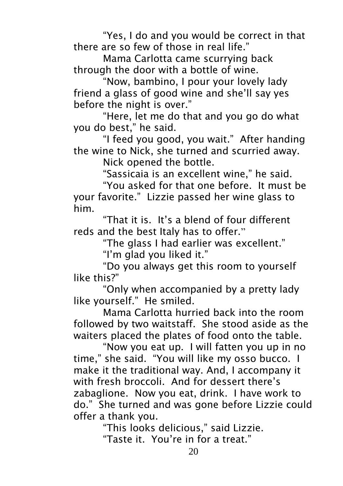"Yes, I do and you would be correct in that there are so few of those in real life."

Mama Carlotta came scurrying back through the door with a bottle of wine.

"Now, bambino, I pour your lovely lady friend a glass of good wine and she'll say yes before the night is over."

"Here, let me do that and you go do what you do best," he said.

"I feed you good, you wait." After handing the wine to Nick, she turned and scurried away.

Nick opened the bottle.

"Sassicaia is an excellent wine," he said.

"You asked for that one before. It must be your favorite." Lizzie passed her wine glass to him.

"That it is. It's a blend of four different reds and the best Italy has to offer."

"The glass I had earlier was excellent."

"I'm glad you liked it."

"Do you always get this room to yourself like this?"

"Only when accompanied by a pretty lady like yourself." He smiled.

Mama Carlotta hurried back into the room followed by two waitstaff. She stood aside as the waiters placed the plates of food onto the table.

"Now you eat up. I will fatten you up in no time," she said. "You will like my osso bucco. I make it the traditional way. And, I accompany it with fresh broccoli. And for dessert there's zabaglione. Now you eat, drink. I have work to do." She turned and was gone before Lizzie could offer a thank you.

"This looks delicious," said Lizzie.

"Taste it. You're in for a treat."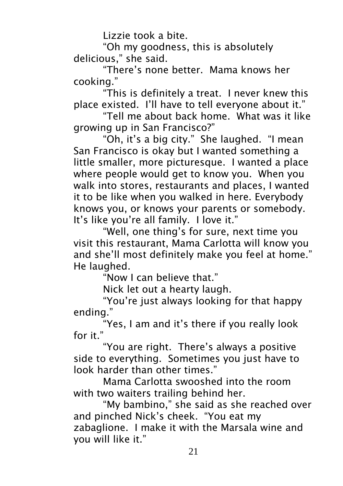Lizzie took a bite.

"Oh my goodness, this is absolutely delicious," she said.

"There's none better. Mama knows her cooking."

"This is definitely a treat. I never knew this place existed. I'll have to tell everyone about it."

"Tell me about back home. What was it like growing up in San Francisco?"

"Oh, it's a big city." She laughed. "I mean San Francisco is okay but I wanted something a little smaller, more picturesque. I wanted a place where people would get to know you. When you walk into stores, restaurants and places, I wanted it to be like when you walked in here. Everybody knows you, or knows your parents or somebody. It's like you're all family. I love it."

"Well, one thing's for sure, next time you visit this restaurant, Mama Carlotta will know you and she'll most definitely make you feel at home." He laughed.

"Now I can believe that."

Nick let out a hearty laugh.

"You're just always looking for that happy ending."

"Yes, I am and it's there if you really look for it."

"You are right. There's always a positive side to everything. Sometimes you just have to look harder than other times."

Mama Carlotta swooshed into the room with two waiters trailing behind her.

"My bambino," she said as she reached over and pinched Nick's cheek. "You eat my zabaglione. I make it with the Marsala wine and you will like it."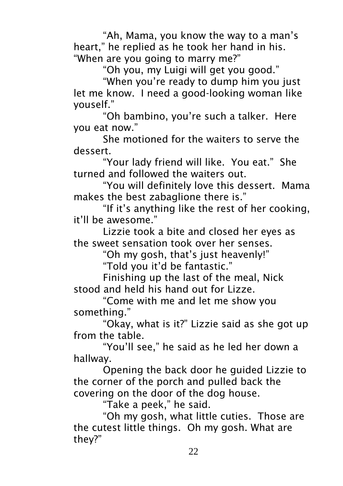"Ah, Mama, you know the way to a man's heart," he replied as he took her hand in his. "When are you going to marry me?"

"Oh you, my Luigi will get you good."

"When you're ready to dump him you just let me know. I need a good-looking woman like youself."

"Oh bambino, you're such a talker. Here you eat now."

She motioned for the waiters to serve the dessert.

"Your lady friend will like. You eat." She turned and followed the waiters out.

"You will definitely love this dessert. Mama makes the best zabaglione there is."

"If it's anything like the rest of her cooking, it'll be awesome."

Lizzie took a bite and closed her eyes as the sweet sensation took over her senses.

"Oh my gosh, that's just heavenly!"

"Told you it'd be fantastic."

Finishing up the last of the meal, Nick stood and held his hand out for Lizze.

"Come with me and let me show you something."

"Okay, what is it?" Lizzie said as she got up from the table.

"You'll see," he said as he led her down a hallway.

Opening the back door he guided Lizzie to the corner of the porch and pulled back the covering on the door of the dog house.

"Take a peek," he said.

"Oh my gosh, what little cuties. Those are the cutest little things. Oh my gosh. What are they?"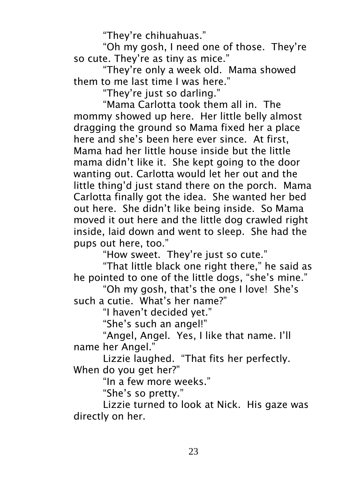"They're chihuahuas."

"Oh my gosh, I need one of those. They're so cute. They're as tiny as mice."

"They're only a week old. Mama showed them to me last time I was here."

"They're just so darling."

"Mama Carlotta took them all in. The mommy showed up here. Her little belly almost dragging the ground so Mama fixed her a place here and she's been here ever since. At first, Mama had her little house inside but the little mama didn't like it. She kept going to the door wanting out. Carlotta would let her out and the little thing'd just stand there on the porch. Mama Carlotta finally got the idea. She wanted her bed out here. She didn't like being inside. So Mama moved it out here and the little dog crawled right inside, laid down and went to sleep. She had the pups out here, too."

"How sweet. They're just so cute."

"That little black one right there," he said as he pointed to one of the little dogs, "she's mine."

"Oh my gosh, that's the one I love! She's such a cutie. What's her name?"

"I haven't decided yet."

"She's such an angel!"

"Angel, Angel. Yes, I like that name. I'll name her Angel."

Lizzie laughed. "That fits her perfectly. When do you get her?"

"In a few more weeks."

"She's so pretty."

Lizzie turned to look at Nick. His gaze was directly on her.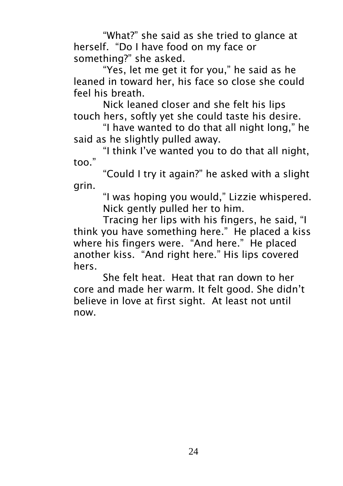"What?" she said as she tried to glance at herself. "Do I have food on my face or something?" she asked.

"Yes, let me get it for you," he said as he leaned in toward her, his face so close she could feel his breath.

Nick leaned closer and she felt his lips touch hers, softly yet she could taste his desire.

"I have wanted to do that all night long," he said as he slightly pulled away.

"I think I've wanted you to do that all night, too."

"Could I try it again?" he asked with a slight grin.

"I was hoping you would," Lizzie whispered. Nick gently pulled her to him.

Tracing her lips with his fingers, he said, "I think you have something here." He placed a kiss where his fingers were. "And here." He placed another kiss. "And right here." His lips covered hers.

She felt heat. Heat that ran down to her core and made her warm. It felt good. She didn't believe in love at first sight. At least not until now.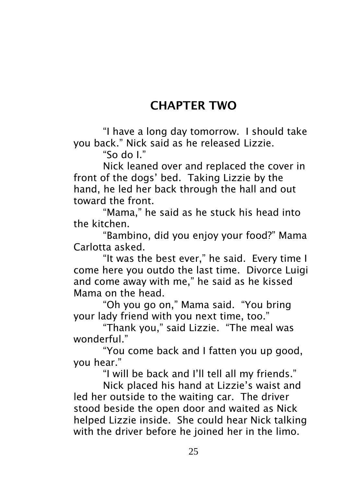## CHAPTER TWO

"I have a long day tomorrow. I should take you back." Nick said as he released Lizzie.

"So do I."

Nick leaned over and replaced the cover in front of the dogs' bed. Taking Lizzie by the hand, he led her back through the hall and out toward the front.

"Mama," he said as he stuck his head into the kitchen.

"Bambino, did you enjoy your food?" Mama Carlotta asked.

"It was the best ever," he said. Every time I come here you outdo the last time. Divorce Luigi and come away with me," he said as he kissed Mama on the head.

"Oh you go on," Mama said. "You bring your lady friend with you next time, too."

"Thank you," said Lizzie. "The meal was wonderful."

"You come back and I fatten you up good, you hear."

"I will be back and I'll tell all my friends."

Nick placed his hand at Lizzie's waist and led her outside to the waiting car. The driver stood beside the open door and waited as Nick helped Lizzie inside. She could hear Nick talking with the driver before he joined her in the limo.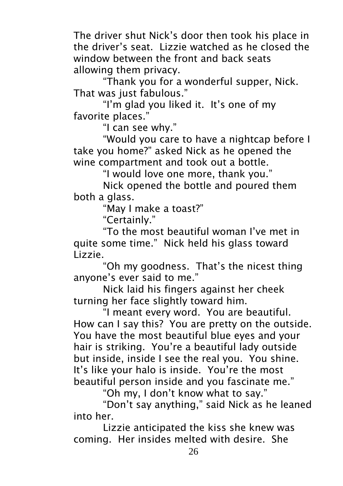The driver shut Nick's door then took his place in the driver's seat. Lizzie watched as he closed the window between the front and back seats allowing them privacy.

"Thank you for a wonderful supper, Nick. That was just fabulous."

"I'm glad you liked it. It's one of my favorite places."

"I can see why."

"Would you care to have a nightcap before I take you home?" asked Nick as he opened the wine compartment and took out a bottle.

"I would love one more, thank you."

Nick opened the bottle and poured them both a glass.

"May I make a toast?"

"Certainly."

"To the most beautiful woman I've met in quite some time." Nick held his glass toward Lizzie.

"Oh my goodness. That's the nicest thing anyone's ever said to me."

Nick laid his fingers against her cheek turning her face slightly toward him.

"I meant every word. You are beautiful. How can I say this? You are pretty on the outside. You have the most beautiful blue eyes and your hair is striking. You're a beautiful lady outside but inside, inside I see the real you. You shine. It's like your halo is inside. You're the most beautiful person inside and you fascinate me."

"Oh my, I don't know what to say."

"Don't say anything," said Nick as he leaned into her.

Lizzie anticipated the kiss she knew was coming. Her insides melted with desire. She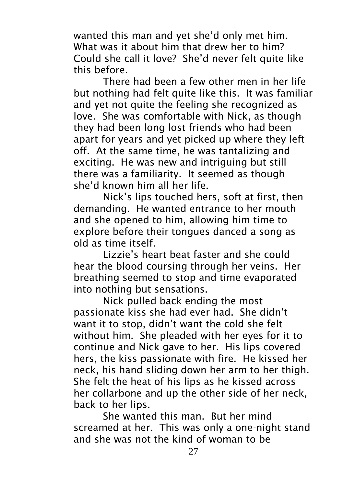wanted this man and yet she'd only met him. What was it about him that drew her to him? Could she call it love? She'd never felt quite like this before.

There had been a few other men in her life but nothing had felt quite like this. It was familiar and yet not quite the feeling she recognized as love. She was comfortable with Nick, as though they had been long lost friends who had been apart for years and yet picked up where they left off. At the same time, he was tantalizing and exciting. He was new and intriguing but still there was a familiarity. It seemed as though she'd known him all her life.

Nick's lips touched hers, soft at first, then demanding. He wanted entrance to her mouth and she opened to him, allowing him time to explore before their tongues danced a song as old as time itself.

Lizzie's heart beat faster and she could hear the blood coursing through her veins. Her breathing seemed to stop and time evaporated into nothing but sensations.

Nick pulled back ending the most passionate kiss she had ever had. She didn't want it to stop, didn't want the cold she felt without him. She pleaded with her eyes for it to continue and Nick gave to her. His lips covered hers, the kiss passionate with fire. He kissed her neck, his hand sliding down her arm to her thigh. She felt the heat of his lips as he kissed across her collarbone and up the other side of her neck, back to her lips.

She wanted this man. But her mind screamed at her. This was only a one-night stand and she was not the kind of woman to be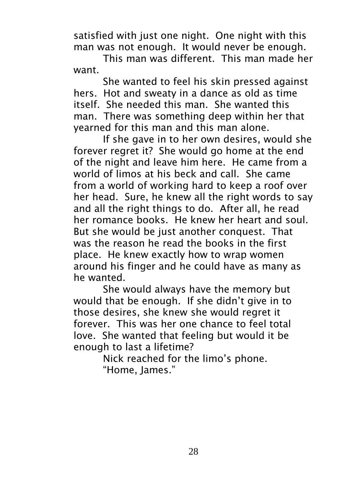satisfied with just one night. One night with this man was not enough. It would never be enough.

This man was different. This man made her want.

She wanted to feel his skin pressed against hers. Hot and sweaty in a dance as old as time itself. She needed this man. She wanted this man. There was something deep within her that yearned for this man and this man alone.

If she gave in to her own desires, would she forever regret it? She would go home at the end of the night and leave him here. He came from a world of limos at his beck and call. She came from a world of working hard to keep a roof over her head. Sure, he knew all the right words to say and all the right things to do. After all, he read her romance books. He knew her heart and soul. But she would be just another conquest. That was the reason he read the books in the first place. He knew exactly how to wrap women around his finger and he could have as many as he wanted.

She would always have the memory but would that be enough. If she didn't give in to those desires, she knew she would regret it forever. This was her one chance to feel total love. She wanted that feeling but would it be enough to last a lifetime?

Nick reached for the limo's phone. "Home, James."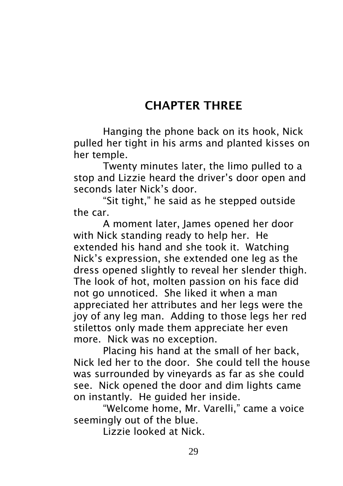## CHAPTER THREE

Hanging the phone back on its hook, Nick pulled her tight in his arms and planted kisses on her temple.

Twenty minutes later, the limo pulled to a stop and Lizzie heard the driver's door open and seconds later Nick's door.

"Sit tight," he said as he stepped outside the car.

A moment later, James opened her door with Nick standing ready to help her. He extended his hand and she took it. Watching Nick's expression, she extended one leg as the dress opened slightly to reveal her slender thigh. The look of hot, molten passion on his face did not go unnoticed. She liked it when a man appreciated her attributes and her legs were the joy of any leg man. Adding to those legs her red stilettos only made them appreciate her even more. Nick was no exception.

Placing his hand at the small of her back, Nick led her to the door. She could tell the house was surrounded by vineyards as far as she could see. Nick opened the door and dim lights came on instantly. He guided her inside.

"Welcome home, Mr. Varelli," came a voice seemingly out of the blue.

Lizzie looked at Nick.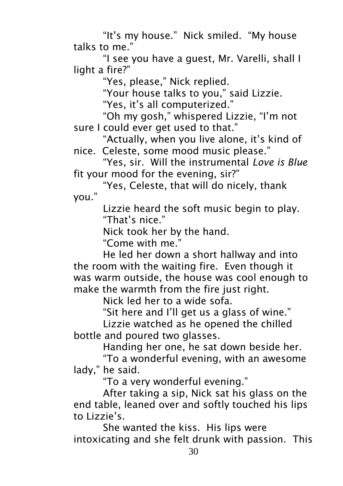"It's my house." Nick smiled. "My house talks to me."

"I see you have a guest, Mr. Varelli, shall I light a fire?"

"Yes, please," Nick replied.

"Your house talks to you," said Lizzie.

"Yes, it's all computerized."

"Oh my gosh," whispered Lizzie, "I'm not sure I could ever get used to that."

"Actually, when you live alone, it's kind of nice. Celeste, some mood music please."

"Yes, sir. Will the instrumental *Love is Blue* fit your mood for the evening, sir?"

"Yes, Celeste, that will do nicely, thank you."

> Lizzie heard the soft music begin to play. "That's nice."

Nick took her by the hand.

"Come with me."

He led her down a short hallway and into the room with the waiting fire. Even though it was warm outside, the house was cool enough to make the warmth from the fire just right.

Nick led her to a wide sofa.

"Sit here and I'll get us a glass of wine."

Lizzie watched as he opened the chilled bottle and poured two glasses.

Handing her one, he sat down beside her.

"To a wonderful evening, with an awesome lady," he said.

"To a very wonderful evening."

After taking a sip, Nick sat his glass on the end table, leaned over and softly touched his lips to Lizzie's.

She wanted the kiss. His lips were intoxicating and she felt drunk with passion. This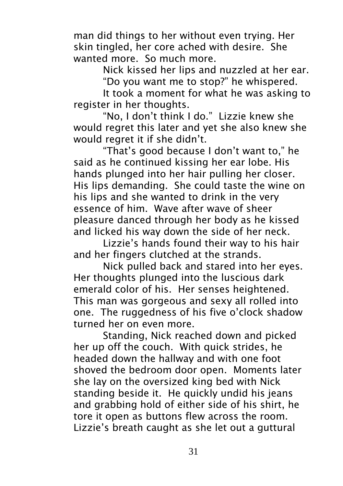man did things to her without even trying. Her skin tingled, her core ached with desire. She wanted more. So much more.

Nick kissed her lips and nuzzled at her ear.

"Do you want me to stop?" he whispered.

It took a moment for what he was asking to register in her thoughts.

"No, I don't think I do." Lizzie knew she would regret this later and yet she also knew she would regret it if she didn't.

"That's good because I don't want to," he said as he continued kissing her ear lobe. His hands plunged into her hair pulling her closer. His lips demanding. She could taste the wine on his lips and she wanted to drink in the very essence of him. Wave after wave of sheer pleasure danced through her body as he kissed and licked his way down the side of her neck.

Lizzie's hands found their way to his hair and her fingers clutched at the strands.

Nick pulled back and stared into her eyes. Her thoughts plunged into the luscious dark emerald color of his. Her senses heightened. This man was gorgeous and sexy all rolled into one. The ruggedness of his five o'clock shadow turned her on even more.

Standing, Nick reached down and picked her up off the couch. With quick strides, he headed down the hallway and with one foot shoved the bedroom door open. Moments later she lay on the oversized king bed with Nick standing beside it. He quickly undid his jeans and grabbing hold of either side of his shirt, he tore it open as buttons flew across the room. Lizzie's breath caught as she let out a guttural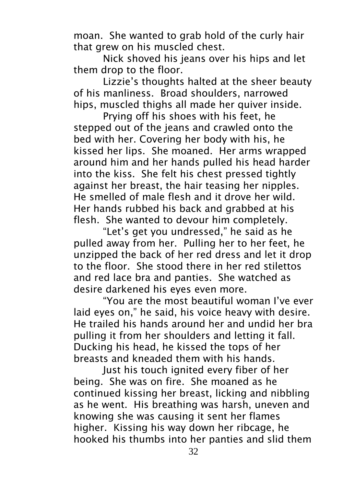moan. She wanted to grab hold of the curly hair that grew on his muscled chest.

Nick shoved his jeans over his hips and let them drop to the floor.

Lizzie's thoughts halted at the sheer beauty of his manliness. Broad shoulders, narrowed hips, muscled thighs all made her quiver inside.

Prying off his shoes with his feet, he stepped out of the jeans and crawled onto the bed with her. Covering her body with his, he kissed her lips. She moaned. Her arms wrapped around him and her hands pulled his head harder into the kiss. She felt his chest pressed tightly against her breast, the hair teasing her nipples. He smelled of male flesh and it drove her wild. Her hands rubbed his back and grabbed at his flesh. She wanted to devour him completely.

"Let's get you undressed," he said as he pulled away from her. Pulling her to her feet, he unzipped the back of her red dress and let it drop to the floor. She stood there in her red stilettos and red lace bra and panties. She watched as desire darkened his eyes even more.

"You are the most beautiful woman I've ever laid eyes on," he said, his voice heavy with desire. He trailed his hands around her and undid her bra pulling it from her shoulders and letting it fall. Ducking his head, he kissed the tops of her breasts and kneaded them with his hands.

Just his touch ignited every fiber of her being. She was on fire. She moaned as he continued kissing her breast, licking and nibbling as he went. His breathing was harsh, uneven and knowing she was causing it sent her flames higher. Kissing his way down her ribcage, he hooked his thumbs into her panties and slid them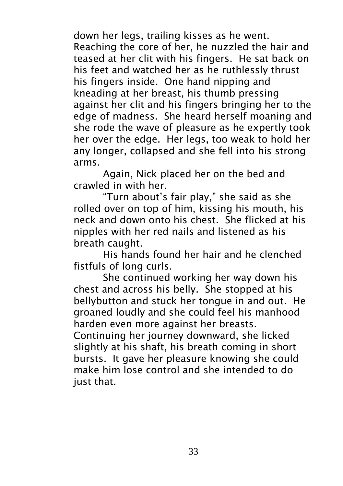down her legs, trailing kisses as he went. Reaching the core of her, he nuzzled the hair and teased at her clit with his fingers. He sat back on his feet and watched her as he ruthlessly thrust his fingers inside. One hand nipping and kneading at her breast, his thumb pressing against her clit and his fingers bringing her to the edge of madness. She heard herself moaning and she rode the wave of pleasure as he expertly took her over the edge. Her legs, too weak to hold her any longer, collapsed and she fell into his strong arms.

Again, Nick placed her on the bed and crawled in with her.

"Turn about's fair play," she said as she rolled over on top of him, kissing his mouth, his neck and down onto his chest. She flicked at his nipples with her red nails and listened as his breath caught.

His hands found her hair and he clenched fistfuls of long curls.

She continued working her way down his chest and across his belly. She stopped at his bellybutton and stuck her tongue in and out. He groaned loudly and she could feel his manhood harden even more against her breasts.

Continuing her journey downward, she licked slightly at his shaft, his breath coming in short bursts. It gave her pleasure knowing she could make him lose control and she intended to do just that.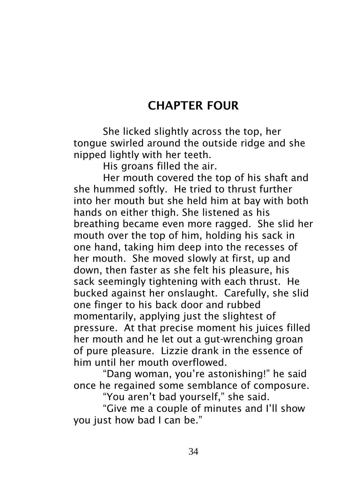#### CHAPTER FOUR

She licked slightly across the top, her tongue swirled around the outside ridge and she nipped lightly with her teeth.

His groans filled the air.

Her mouth covered the top of his shaft and she hummed softly. He tried to thrust further into her mouth but she held him at bay with both hands on either thigh. She listened as his breathing became even more ragged. She slid her mouth over the top of him, holding his sack in one hand, taking him deep into the recesses of her mouth. She moved slowly at first, up and down, then faster as she felt his pleasure, his sack seemingly tightening with each thrust. He bucked against her onslaught. Carefully, she slid one finger to his back door and rubbed momentarily, applying just the slightest of pressure. At that precise moment his juices filled her mouth and he let out a gut-wrenching groan of pure pleasure. Lizzie drank in the essence of him until her mouth overflowed.

"Dang woman, you're astonishing!" he said once he regained some semblance of composure.

"You aren't bad yourself," she said.

"Give me a couple of minutes and I'll show you just how bad I can be."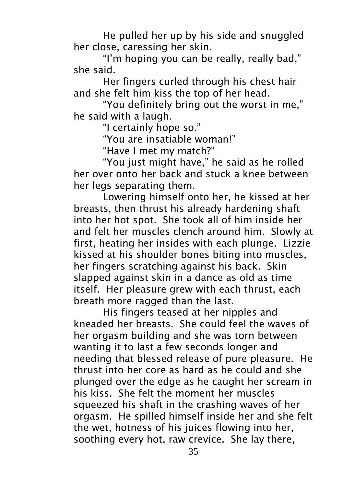He pulled her up by his side and snuggled her close, caressing her skin.

"I'm hoping you can be really, really bad," she said.

Her fingers curled through his chest hair and she felt him kiss the top of her head.

"You definitely bring out the worst in me," he said with a laugh.

"I certainly hope so."

"You are insatiable woman!"

"Have I met my match?"

"You just might have," he said as he rolled her over onto her back and stuck a knee between her legs separating them.

Lowering himself onto her, he kissed at her breasts, then thrust his already hardening shaft into her hot spot. She took all of him inside her and felt her muscles clench around him. Slowly at first, heating her insides with each plunge. Lizzie kissed at his shoulder bones biting into muscles, her fingers scratching against his back. Skin slapped against skin in a dance as old as time itself. Her pleasure grew with each thrust, each breath more ragged than the last.

His fingers teased at her nipples and kneaded her breasts. She could feel the waves of her orgasm building and she was torn between wanting it to last a few seconds longer and needing that blessed release of pure pleasure. He thrust into her core as hard as he could and she plunged over the edge as he caught her scream in his kiss. She felt the moment her muscles squeezed his shaft in the crashing waves of her orgasm. He spilled himself inside her and she felt the wet, hotness of his juices flowing into her, soothing every hot, raw crevice. She lay there,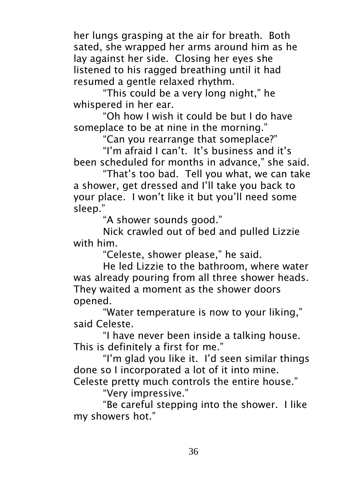her lungs grasping at the air for breath. Both sated, she wrapped her arms around him as he lay against her side. Closing her eyes she listened to his ragged breathing until it had resumed a gentle relaxed rhythm.

"This could be a very long night," he whispered in her ear.

"Oh how I wish it could be but I do have someplace to be at nine in the morning."

"Can you rearrange that someplace?"

"I'm afraid I can't. It's business and it's been scheduled for months in advance," she said.

"That's too bad. Tell you what, we can take a shower, get dressed and I'll take you back to your place. I won't like it but you'll need some sleep."

"A shower sounds good."

Nick crawled out of bed and pulled Lizzie with him.

"Celeste, shower please," he said.

He led Lizzie to the bathroom, where water was already pouring from all three shower heads. They waited a moment as the shower doors opened.

"Water temperature is now to your liking," said Celeste.

"I have never been inside a talking house. This is definitely a first for me."

"I'm glad you like it. I'd seen similar things done so I incorporated a lot of it into mine.

Celeste pretty much controls the entire house."

"Very impressive."

"Be careful stepping into the shower. I like my showers hot."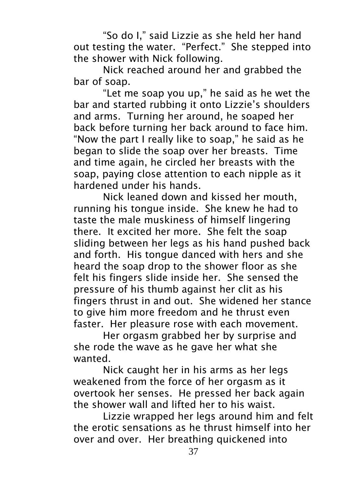"So do I," said Lizzie as she held her hand out testing the water. "Perfect." She stepped into the shower with Nick following.

Nick reached around her and grabbed the bar of soap.

"Let me soap you up," he said as he wet the bar and started rubbing it onto Lizzie's shoulders and arms. Turning her around, he soaped her back before turning her back around to face him. "Now the part I really like to soap," he said as he began to slide the soap over her breasts. Time and time again, he circled her breasts with the soap, paying close attention to each nipple as it hardened under his hands.

Nick leaned down and kissed her mouth, running his tongue inside. She knew he had to taste the male muskiness of himself lingering there. It excited her more. She felt the soap sliding between her legs as his hand pushed back and forth. His tongue danced with hers and she heard the soap drop to the shower floor as she felt his fingers slide inside her. She sensed the pressure of his thumb against her clit as his fingers thrust in and out. She widened her stance to give him more freedom and he thrust even faster. Her pleasure rose with each movement.

Her orgasm grabbed her by surprise and she rode the wave as he gave her what she wanted.

Nick caught her in his arms as her legs weakened from the force of her orgasm as it overtook her senses. He pressed her back again the shower wall and lifted her to his waist.

Lizzie wrapped her legs around him and felt the erotic sensations as he thrust himself into her over and over. Her breathing quickened into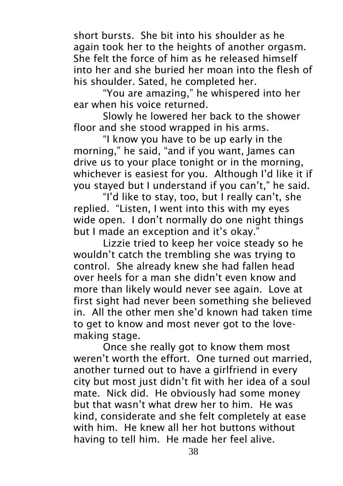short bursts. She bit into his shoulder as he again took her to the heights of another orgasm. She felt the force of him as he released himself into her and she buried her moan into the flesh of his shoulder. Sated, he completed her.

"You are amazing," he whispered into her ear when his voice returned.

Slowly he lowered her back to the shower floor and she stood wrapped in his arms.

"I know you have to be up early in the morning," he said, "and if you want, James can drive us to your place tonight or in the morning, whichever is easiest for you. Although I'd like it if you stayed but I understand if you can't," he said.

"I'd like to stay, too, but I really can't, she replied. "Listen, I went into this with my eyes wide open. I don't normally do one night things but I made an exception and it's okay."

Lizzie tried to keep her voice steady so he wouldn't catch the trembling she was trying to control. She already knew she had fallen head over heels for a man she didn't even know and more than likely would never see again. Love at first sight had never been something she believed in. All the other men she'd known had taken time to get to know and most never got to the lovemaking stage.

Once she really got to know them most weren't worth the effort. One turned out married, another turned out to have a girlfriend in every city but most just didn't fit with her idea of a soul mate. Nick did. He obviously had some money but that wasn't what drew her to him. He was kind, considerate and she felt completely at ease with him. He knew all her hot buttons without having to tell him. He made her feel alive.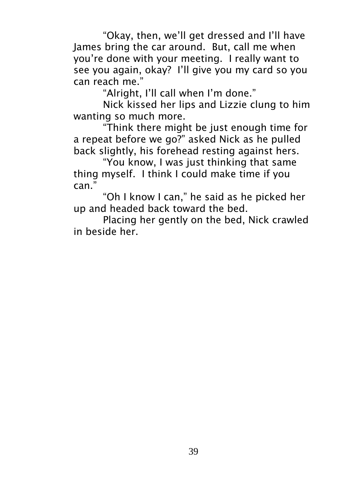"Okay, then, we'll get dressed and I'll have James bring the car around. But, call me when you're done with your meeting. I really want to see you again, okay? I'll give you my card so you can reach me."

"Alright, I'll call when I'm done."

Nick kissed her lips and Lizzie clung to him wanting so much more.

"Think there might be just enough time for a repeat before we go?" asked Nick as he pulled back slightly, his forehead resting against hers.

"You know, I was just thinking that same thing myself. I think I could make time if you can."

"Oh I know I can," he said as he picked her up and headed back toward the bed.

Placing her gently on the bed, Nick crawled in beside her.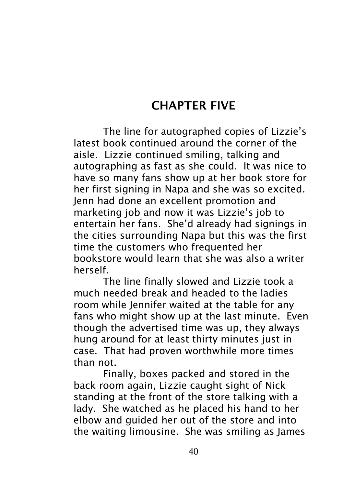### CHAPTER FIVE

The line for autographed copies of Lizzie's latest book continued around the corner of the aisle. Lizzie continued smiling, talking and autographing as fast as she could. It was nice to have so many fans show up at her book store for her first signing in Napa and she was so excited. Jenn had done an excellent promotion and marketing job and now it was Lizzie's job to entertain her fans. She'd already had signings in the cities surrounding Napa but this was the first time the customers who frequented her bookstore would learn that she was also a writer herself.

The line finally slowed and Lizzie took a much needed break and headed to the ladies room while Jennifer waited at the table for any fans who might show up at the last minute. Even though the advertised time was up, they always hung around for at least thirty minutes just in case. That had proven worthwhile more times than not.

Finally, boxes packed and stored in the back room again, Lizzie caught sight of Nick standing at the front of the store talking with a lady. She watched as he placed his hand to her elbow and guided her out of the store and into the waiting limousine. She was smiling as James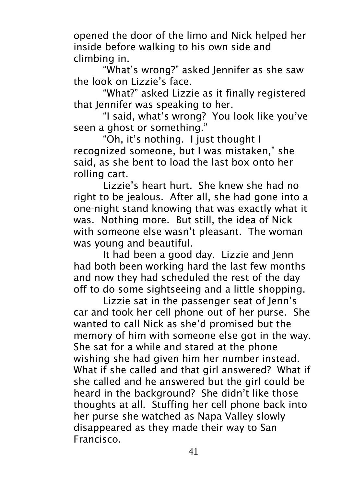opened the door of the limo and Nick helped her inside before walking to his own side and climbing in.

"What's wrong?" asked Jennifer as she saw the look on Lizzie's face.

"What?" asked Lizzie as it finally registered that Jennifer was speaking to her.

"I said, what's wrong? You look like you've seen a ghost or something."

"Oh, it's nothing. I just thought I recognized someone, but I was mistaken," she said, as she bent to load the last box onto her rolling cart.

Lizzie's heart hurt. She knew she had no right to be jealous. After all, she had gone into a one-night stand knowing that was exactly what it was. Nothing more. But still, the idea of Nick with someone else wasn't pleasant. The woman was young and beautiful.

It had been a good day. Lizzie and Jenn had both been working hard the last few months and now they had scheduled the rest of the day off to do some sightseeing and a little shopping.

Lizzie sat in the passenger seat of Jenn's car and took her cell phone out of her purse. She wanted to call Nick as she'd promised but the memory of him with someone else got in the way. She sat for a while and stared at the phone wishing she had given him her number instead. What if she called and that girl answered? What if she called and he answered but the girl could be heard in the background? She didn't like those thoughts at all. Stuffing her cell phone back into her purse she watched as Napa Valley slowly disappeared as they made their way to San Francisco.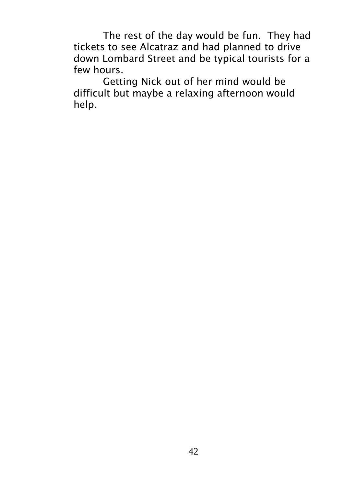The rest of the day would be fun. They had tickets to see Alcatraz and had planned to drive down Lombard Street and be typical tourists for a few hours.

Getting Nick out of her mind would be difficult but maybe a relaxing afternoon would help.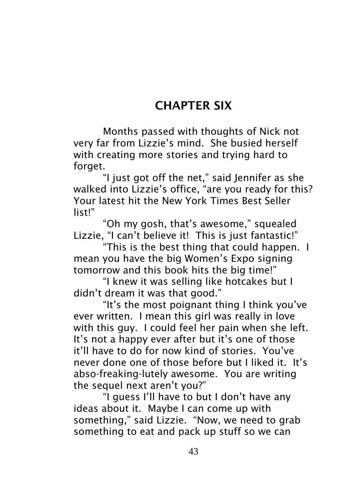### CHAPTER SIX

Months passed with thoughts of Nick not very far from Lizzie's mind. She busied herself with creating more stories and trying hard to forget.

"I just got off the net," said Jennifer as she walked into Lizzie's office, "are you ready for this? Your latest hit the New York Times Best Seller list!"

"Oh my gosh, that's awesome," squealed Lizzie, "I can't believe it! This is just fantastic!"

"This is the best thing that could happen. I mean you have the big Women's Expo signing tomorrow and this book hits the big time!"

"I knew it was selling like hotcakes but I didn't dream it was that good."

"It's the most poignant thing I think you've ever written. I mean this girl was really in love with this guy. I could feel her pain when she left. It's not a happy ever after but it's one of those it'll have to do for now kind of stories. You've never done one of those before but I liked it. It's abso-freaking-lutely awesome. You are writing the sequel next aren't you?"

"I guess I'll have to but I don't have any ideas about it. Maybe I can come up with something," said Lizzie. "Now, we need to grab something to eat and pack up stuff so we can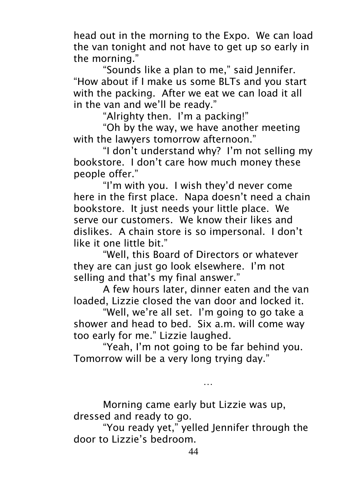head out in the morning to the Expo. We can load the van tonight and not have to get up so early in the morning."

"Sounds like a plan to me," said Jennifer. "How about if I make us some BLTs and you start with the packing. After we eat we can load it all in the van and we'll be ready."

"Alrighty then. I'm a packing!"

"Oh by the way, we have another meeting with the lawyers tomorrow afternoon."

"I don't understand why? I'm not selling my bookstore. I don't care how much money these people offer."

"I'm with you. I wish they'd never come here in the first place. Napa doesn't need a chain bookstore. It just needs your little place. We serve our customers. We know their likes and dislikes. A chain store is so impersonal. I don't like it one little bit."

"Well, this Board of Directors or whatever they are can just go look elsewhere. I'm not selling and that's my final answer."

A few hours later, dinner eaten and the van loaded, Lizzie closed the van door and locked it.

"Well, we're all set. I'm going to go take a shower and head to bed. Six a.m. will come way too early for me." Lizzie laughed.

"Yeah, I'm not going to be far behind you. Tomorrow will be a very long trying day."

…

Morning came early but Lizzie was up, dressed and ready to go.

"You ready yet," yelled Jennifer through the door to Lizzie's bedroom.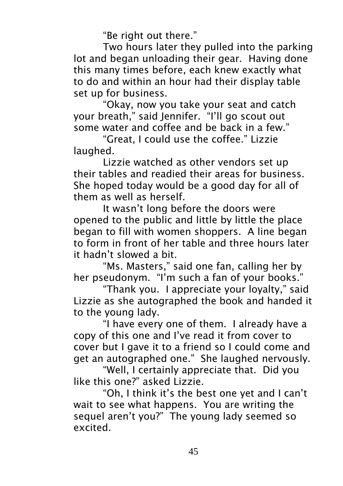"Be right out there."

Two hours later they pulled into the parking lot and began unloading their gear. Having done this many times before, each knew exactly what to do and within an hour had their display table set up for business.

"Okay, now you take your seat and catch your breath," said Jennifer. "I'll go scout out some water and coffee and be back in a few."

"Great, I could use the coffee." Lizzie laughed.

Lizzie watched as other vendors set up their tables and readied their areas for business. She hoped today would be a good day for all of them as well as herself.

It wasn't long before the doors were opened to the public and little by little the place began to fill with women shoppers. A line began to form in front of her table and three hours later it hadn't slowed a bit.

"Ms. Masters," said one fan, calling her by her pseudonym. "I'm such a fan of your books."

"Thank you. I appreciate your loyalty," said Lizzie as she autographed the book and handed it to the young lady.

"I have every one of them. I already have a copy of this one and I've read it from cover to cover but I gave it to a friend so I could come and get an autographed one." She laughed nervously.

"Well, I certainly appreciate that. Did you like this one?" asked Lizzie.

"Oh, I think it's the best one yet and I can't wait to see what happens. You are writing the sequel aren't you?" The young lady seemed so excited.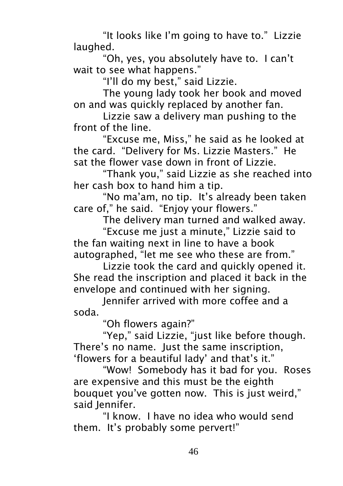"It looks like I'm going to have to." Lizzie laughed.

"Oh, yes, you absolutely have to. I can't wait to see what happens."

"I'll do my best," said Lizzie.

The young lady took her book and moved on and was quickly replaced by another fan.

Lizzie saw a delivery man pushing to the front of the line.

"Excuse me, Miss," he said as he looked at the card. "Delivery for Ms. Lizzie Masters." He sat the flower vase down in front of Lizzie.

"Thank you," said Lizzie as she reached into her cash box to hand him a tip.

"No ma'am, no tip. It's already been taken care of," he said. "Enjoy your flowers."

The delivery man turned and walked away.

"Excuse me just a minute," Lizzie said to the fan waiting next in line to have a book autographed, "let me see who these are from."

Lizzie took the card and quickly opened it. She read the inscription and placed it back in the envelope and continued with her signing.

Jennifer arrived with more coffee and a soda.

"Oh flowers again?"

"Yep," said Lizzie, "just like before though. There's no name. Just the same inscription, 'flowers for a beautiful lady' and that's it."

"Wow! Somebody has it bad for you. Roses are expensive and this must be the eighth bouquet you've gotten now. This is just weird," said lennifer.

"I know. I have no idea who would send them. It's probably some pervert!"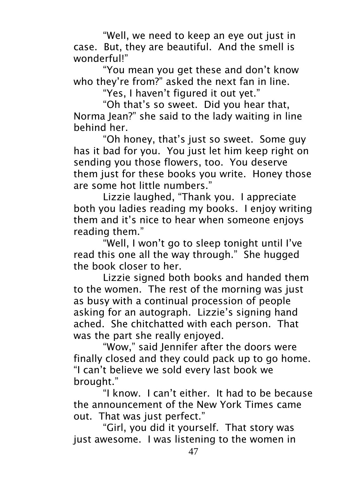"Well, we need to keep an eye out just in case. But, they are beautiful. And the smell is wonderful!"

"You mean you get these and don't know who they're from?" asked the next fan in line.

"Yes, I haven't figured it out yet."

"Oh that's so sweet. Did you hear that, Norma Jean?" she said to the lady waiting in line behind her.

"Oh honey, that's just so sweet. Some guy has it bad for you. You just let him keep right on sending you those flowers, too. You deserve them just for these books you write. Honey those are some hot little numbers."

Lizzie laughed, "Thank you. I appreciate both you ladies reading my books. I enjoy writing them and it's nice to hear when someone enjoys reading them."

"Well, I won't go to sleep tonight until I've read this one all the way through." She hugged the book closer to her.

Lizzie signed both books and handed them to the women. The rest of the morning was just as busy with a continual procession of people asking for an autograph. Lizzie's signing hand ached. She chitchatted with each person. That was the part she really enjoyed.

"Wow," said Jennifer after the doors were finally closed and they could pack up to go home. "I can't believe we sold every last book we brought."

"I know. I can't either. It had to be because the announcement of the New York Times came out. That was just perfect."

"Girl, you did it yourself. That story was just awesome. I was listening to the women in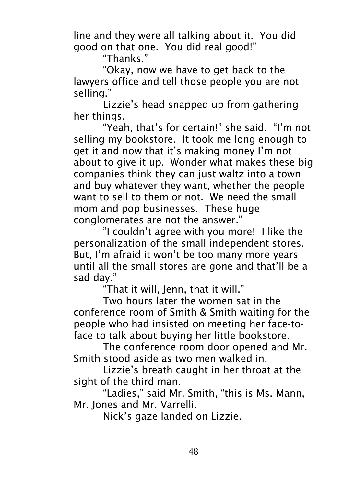line and they were all talking about it. You did good on that one. You did real good!"

"Thanks."

"Okay, now we have to get back to the lawyers office and tell those people you are not selling."

Lizzie's head snapped up from gathering her things.

"Yeah, that's for certain!" she said. "I'm not selling my bookstore. It took me long enough to get it and now that it's making money I'm not about to give it up. Wonder what makes these big companies think they can just waltz into a town and buy whatever they want, whether the people want to sell to them or not. We need the small mom and pop businesses. These huge conglomerates are not the answer."

"I couldn't agree with you more! I like the personalization of the small independent stores. But, I'm afraid it won't be too many more years until all the small stores are gone and that'll be a sad day."

"That it will, Jenn, that it will."

Two hours later the women sat in the conference room of Smith & Smith waiting for the people who had insisted on meeting her face-toface to talk about buying her little bookstore.

The conference room door opened and Mr. Smith stood aside as two men walked in.

Lizzie's breath caught in her throat at the sight of the third man.

"Ladies," said Mr. Smith, "this is Ms. Mann, Mr. Jones and Mr. Varrelli.

Nick's gaze landed on Lizzie.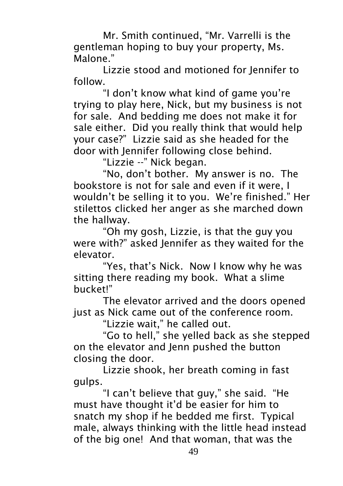Mr. Smith continued, "Mr. Varrelli is the gentleman hoping to buy your property, Ms. Malone."

Lizzie stood and motioned for Jennifer to follow.

"I don't know what kind of game you're trying to play here, Nick, but my business is not for sale. And bedding me does not make it for sale either. Did you really think that would help your case?" Lizzie said as she headed for the door with Jennifer following close behind.

"Lizzie --" Nick began.

"No, don't bother. My answer is no. The bookstore is not for sale and even if it were, I wouldn't be selling it to you. We're finished." Her stilettos clicked her anger as she marched down the hallway.

"Oh my gosh, Lizzie, is that the guy you were with?" asked Jennifer as they waited for the elevator.

"Yes, that's Nick. Now I know why he was sitting there reading my book. What a slime bucket!"

The elevator arrived and the doors opened just as Nick came out of the conference room.

"Lizzie wait," he called out.

"Go to hell," she yelled back as she stepped on the elevator and Jenn pushed the button closing the door.

Lizzie shook, her breath coming in fast gulps.

"I can't believe that guy," she said. "He must have thought it'd be easier for him to snatch my shop if he bedded me first. Typical male, always thinking with the little head instead of the big one! And that woman, that was the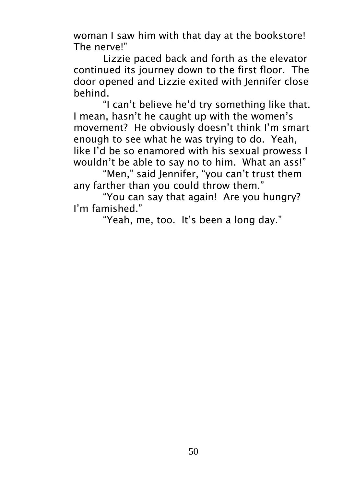woman I saw him with that day at the bookstore! The nerve!"

Lizzie paced back and forth as the elevator continued its journey down to the first floor. The door opened and Lizzie exited with Jennifer close behind.

"I can't believe he'd try something like that. I mean, hasn't he caught up with the women's movement? He obviously doesn't think I'm smart enough to see what he was trying to do. Yeah, like I'd be so enamored with his sexual prowess I wouldn't be able to say no to him. What an ass!"

"Men," said Jennifer, "you can't trust them any farther than you could throw them."

"You can say that again! Are you hungry? I'm famished."

"Yeah, me, too. It's been a long day."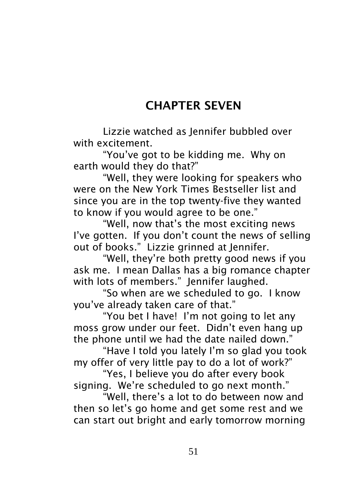# CHAPTER SEVEN

Lizzie watched as Jennifer bubbled over with excitement.

"You've got to be kidding me. Why on earth would they do that?"

"Well, they were looking for speakers who were on the New York Times Bestseller list and since you are in the top twenty-five they wanted to know if you would agree to be one."

"Well, now that's the most exciting news I've gotten. If you don't count the news of sellina out of books." Lizzie grinned at Jennifer.

"Well, they're both pretty good news if you ask me. I mean Dallas has a big romance chapter with lots of members." Jennifer laughed.

"So when are we scheduled to go. I know you've already taken care of that."

"You bet I have! I'm not going to let any moss grow under our feet. Didn't even hang up the phone until we had the date nailed down."

"Have I told you lately I'm so glad you took my offer of very little pay to do a lot of work?"

"Yes, I believe you do after every book signing. We're scheduled to go next month."

"Well, there's a lot to do between now and then so let's go home and get some rest and we can start out bright and early tomorrow morning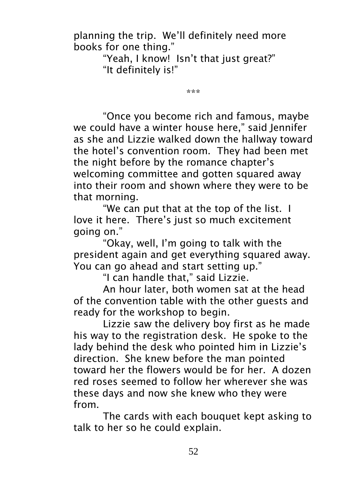planning the trip. We'll definitely need more books for one thing."

> "Yeah, I know! Isn't that just great?" "It definitely is!"

> > \*\*\*

"Once you become rich and famous, maybe we could have a winter house here," said Jennifer as she and Lizzie walked down the hallway toward the hotel's convention room. They had been met the night before by the romance chapter's welcoming committee and gotten squared away into their room and shown where they were to be that morning.

"We can put that at the top of the list. I love it here. There's just so much excitement going on."

"Okay, well, I'm going to talk with the president again and get everything squared away. You can go ahead and start setting up."

"I can handle that," said Lizzie.

An hour later, both women sat at the head of the convention table with the other guests and ready for the workshop to begin.

Lizzie saw the delivery boy first as he made his way to the registration desk. He spoke to the lady behind the desk who pointed him in Lizzie's direction. She knew before the man pointed toward her the flowers would be for her. A dozen red roses seemed to follow her wherever she was these days and now she knew who they were from.

The cards with each bouquet kept asking to talk to her so he could explain.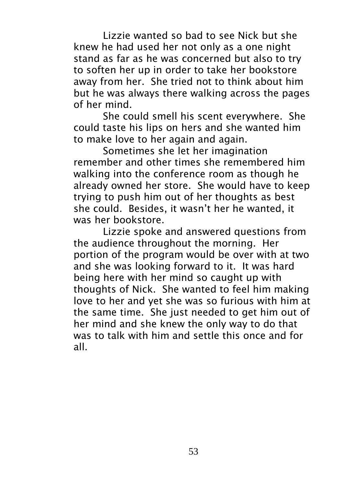Lizzie wanted so bad to see Nick but she knew he had used her not only as a one night stand as far as he was concerned but also to try to soften her up in order to take her bookstore away from her. She tried not to think about him but he was always there walking across the pages of her mind.

She could smell his scent everywhere. She could taste his lips on hers and she wanted him to make love to her again and again.

Sometimes she let her imagination remember and other times she remembered him walking into the conference room as though he already owned her store. She would have to keep trying to push him out of her thoughts as best she could. Besides, it wasn't her he wanted, it was her bookstore.

Lizzie spoke and answered questions from the audience throughout the morning. Her portion of the program would be over with at two and she was looking forward to it. It was hard being here with her mind so caught up with thoughts of Nick. She wanted to feel him making love to her and yet she was so furious with him at the same time. She just needed to get him out of her mind and she knew the only way to do that was to talk with him and settle this once and for all.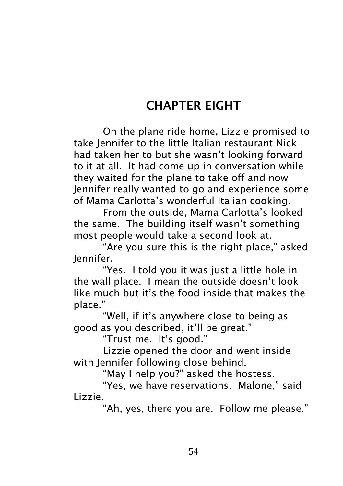## CHAPTER EIGHT

On the plane ride home, Lizzie promised to take Jennifer to the little Italian restaurant Nick had taken her to but she wasn't looking forward to it at all. It had come up in conversation while they waited for the plane to take off and now Jennifer really wanted to go and experience some of Mama Carlotta's wonderful Italian cooking.

From the outside, Mama Carlotta's looked the same. The building itself wasn't something most people would take a second look at.

"Are you sure this is the right place," asked Jennifer.

"Yes. I told you it was just a little hole in the wall place. I mean the outside doesn't look like much but it's the food inside that makes the place."

"Well, if it's anywhere close to being as good as you described, it'll be great."

"Trust me. It's good."

Lizzie opened the door and went inside with Jennifer following close behind.

"May I help you?" asked the hostess.

"Yes, we have reservations. Malone," said Lizzie.

"Ah, yes, there you are. Follow me please."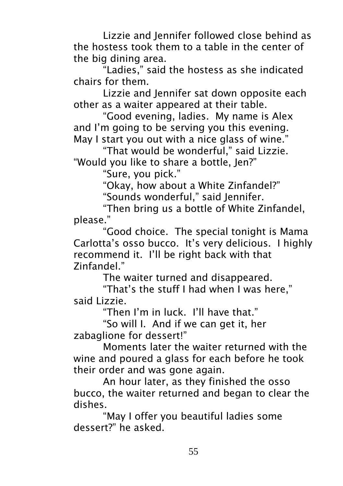Lizzie and Jennifer followed close behind as the hostess took them to a table in the center of the big dining area.

"Ladies," said the hostess as she indicated chairs for them.

Lizzie and Jennifer sat down opposite each other as a waiter appeared at their table.

"Good evening, ladies. My name is Alex and I'm going to be serving you this evening. May I start you out with a nice glass of wine."

"That would be wonderful," said Lizzie. "Would you like to share a bottle, Jen?"

"Sure, you pick."

"Okay, how about a White Zinfandel?"

"Sounds wonderful," said Jennifer.

"Then bring us a bottle of White Zinfandel, please."

"Good choice. The special tonight is Mama Carlotta's osso bucco. It's very delicious. I highly recommend it. I'll be right back with that Zinfandel."

The waiter turned and disappeared.

"That's the stuff I had when I was here," said Lizzie.

"Then I'm in luck. I'll have that"

"So will I. And if we can get it, her zabaglione for dessert!"

Moments later the waiter returned with the wine and poured a glass for each before he took their order and was gone again.

An hour later, as they finished the osso bucco, the waiter returned and began to clear the dishes.

"May I offer you beautiful ladies some dessert?" he asked.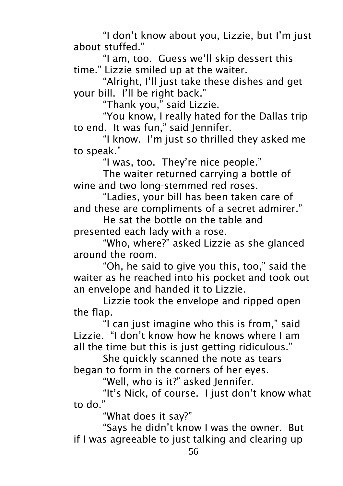"I don't know about you, Lizzie, but I'm just about stuffed."

"I am, too. Guess we'll skip dessert this time." Lizzie smiled up at the waiter.

"Alright, I'll just take these dishes and get your bill. I'll be right back."

"Thank you," said Lizzie.

"You know, I really hated for the Dallas trip to end. It was fun," said Jennifer.

"I know. I'm just so thrilled they asked me to speak."

"I was, too. They're nice people."

The waiter returned carrying a bottle of wine and two long-stemmed red roses.

"Ladies, your bill has been taken care of and these are compliments of a secret admirer."

He sat the bottle on the table and presented each lady with a rose.

"Who, where?" asked Lizzie as she glanced around the room.

"Oh, he said to give you this, too," said the waiter as he reached into his pocket and took out an envelope and handed it to Lizzie.

Lizzie took the envelope and ripped open the flap.

"I can just imagine who this is from," said Lizzie. "I don't know how he knows where I am all the time but this is just getting ridiculous."

She quickly scanned the note as tears began to form in the corners of her eyes.

"Well, who is it?" asked Jennifer.

"It's Nick, of course. I just don't know what to do."

"What does it say?"

"Says he didn't know I was the owner. But if I was agreeable to just talking and clearing up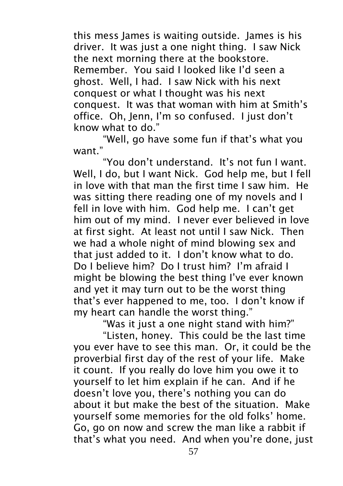this mess James is waiting outside. James is his driver. It was just a one night thing. I saw Nick the next morning there at the bookstore. Remember. You said I looked like I'd seen a ghost. Well, I had. I saw Nick with his next conquest or what I thought was his next conquest. It was that woman with him at Smith's office. Oh, Jenn, I'm so confused. I just don't know what to do."

"Well, go have some fun if that's what you want."

"You don't understand. It's not fun I want. Well, I do, but I want Nick. God help me, but I fell in love with that man the first time I saw him. He was sitting there reading one of my novels and I fell in love with him. God help me. I can't get him out of my mind. I never ever believed in love at first sight. At least not until I saw Nick. Then we had a whole night of mind blowing sex and that just added to it. I don't know what to do. Do I believe him? Do I trust him? I'm afraid I might be blowing the best thing I've ever known and yet it may turn out to be the worst thing that's ever happened to me, too. I don't know if my heart can handle the worst thing."

"Was it just a one night stand with him?"

"Listen, honey. This could be the last time you ever have to see this man. Or, it could be the proverbial first day of the rest of your life. Make it count. If you really do love him you owe it to yourself to let him explain if he can. And if he doesn't love you, there's nothing you can do about it but make the best of the situation. Make yourself some memories for the old folks' home. Go, go on now and screw the man like a rabbit if that's what you need. And when you're done, just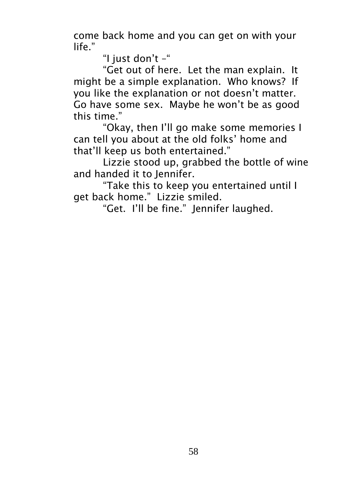come back home and you can get on with your life."

"I just don't –"

"Get out of here. Let the man explain. It might be a simple explanation. Who knows? If you like the explanation or not doesn't matter. Go have some sex. Maybe he won't be as good this time."

"Okay, then I'll go make some memories I can tell you about at the old folks' home and that'll keep us both entertained."

Lizzie stood up, grabbed the bottle of wine and handed it to Jennifer.

"Take this to keep you entertained until I get back home." Lizzie smiled.

"Get. I'll be fine." Jennifer laughed.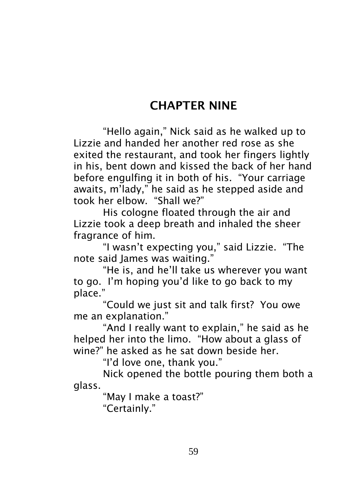### CHAPTER NINE

"Hello again," Nick said as he walked up to Lizzie and handed her another red rose as she exited the restaurant, and took her fingers lightly in his, bent down and kissed the back of her hand before engulfing it in both of his. "Your carriage awaits, m'lady," he said as he stepped aside and took her elbow. "Shall we?"

His cologne floated through the air and Lizzie took a deep breath and inhaled the sheer fragrance of him.

"I wasn't expecting you," said Lizzie. "The note said James was waiting."

"He is, and he'll take us wherever you want to go. I'm hoping you'd like to go back to my place."

"Could we just sit and talk first? You owe me an explanation."

"And I really want to explain," he said as he helped her into the limo. "How about a glass of wine?" he asked as he sat down beside her.

"I'd love one, thank you."

Nick opened the bottle pouring them both a glass.

"May I make a toast?"

"Certainly."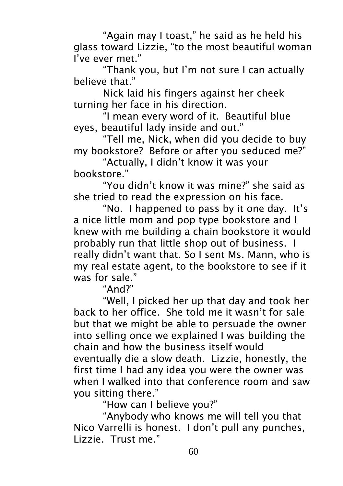"Again may I toast," he said as he held his glass toward Lizzie, "to the most beautiful woman I've ever met."

"Thank you, but I'm not sure I can actually believe that."

Nick laid his fingers against her cheek turning her face in his direction.

"I mean every word of it. Beautiful blue eyes, beautiful lady inside and out."

"Tell me, Nick, when did you decide to buy my bookstore? Before or after you seduced me?"

"Actually, I didn't know it was your bookstore."

"You didn't know it was mine?" she said as she tried to read the expression on his face.

"No. I happened to pass by it one day. It's a nice little mom and pop type bookstore and I knew with me building a chain bookstore it would probably run that little shop out of business. I really didn't want that. So I sent Ms. Mann, who is my real estate agent, to the bookstore to see if it was for sale."

"And?"

"Well, I picked her up that day and took her back to her office. She told me it wasn't for sale but that we might be able to persuade the owner into selling once we explained I was building the chain and how the business itself would eventually die a slow death. Lizzie, honestly, the first time I had any idea you were the owner was when I walked into that conference room and saw you sitting there."

"How can I believe you?"

"Anybody who knows me will tell you that Nico Varrelli is honest. I don't pull any punches, Lizzie. Trust me."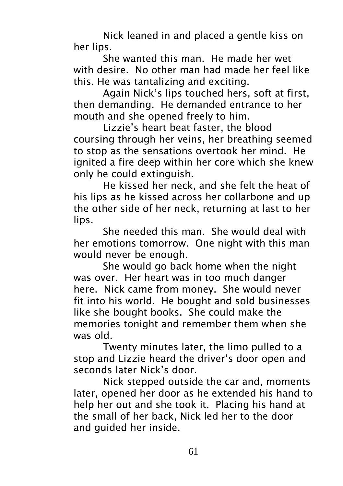Nick leaned in and placed a gentle kiss on her lips.

She wanted this man. He made her wet with desire. No other man had made her feel like this. He was tantalizing and exciting.

Again Nick's lips touched hers, soft at first, then demanding. He demanded entrance to her mouth and she opened freely to him.

Lizzie's heart beat faster, the blood coursing through her veins, her breathing seemed to stop as the sensations overtook her mind. He ignited a fire deep within her core which she knew only he could extinguish.

He kissed her neck, and she felt the heat of his lips as he kissed across her collarbone and up the other side of her neck, returning at last to her lips.

She needed this man. She would deal with her emotions tomorrow. One night with this man would never be enough.

She would go back home when the night was over. Her heart was in too much danger here. Nick came from money. She would never fit into his world. He bought and sold businesses like she bought books. She could make the memories tonight and remember them when she was old.

Twenty minutes later, the limo pulled to a stop and Lizzie heard the driver's door open and seconds later Nick's door.

Nick stepped outside the car and, moments later, opened her door as he extended his hand to help her out and she took it. Placing his hand at the small of her back, Nick led her to the door and guided her inside.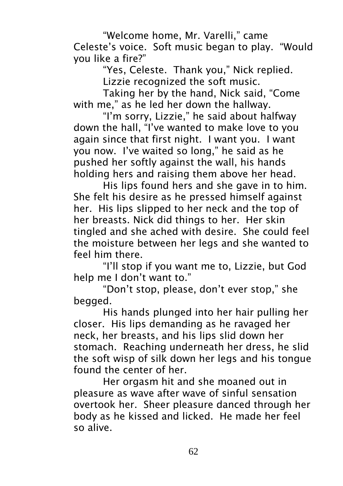"Welcome home, Mr. Varelli," came Celeste's voice. Soft music began to play. "Would you like a fire?"

"Yes, Celeste. Thank you," Nick replied. Lizzie recognized the soft music.

Taking her by the hand, Nick said, "Come with me," as he led her down the hallway.

"I'm sorry, Lizzie," he said about halfway down the hall, "I've wanted to make love to you again since that first night. I want you. I want you now. I've waited so long," he said as he pushed her softly against the wall, his hands holding hers and raising them above her head.

His lips found hers and she gave in to him. She felt his desire as he pressed himself against her. His lips slipped to her neck and the top of her breasts. Nick did things to her. Her skin tingled and she ached with desire. She could feel the moisture between her legs and she wanted to feel him there.

"I'll stop if you want me to, Lizzie, but God help me I don't want to."

"Don't stop, please, don't ever stop," she begged.

His hands plunged into her hair pulling her closer. His lips demanding as he ravaged her neck, her breasts, and his lips slid down her stomach. Reaching underneath her dress, he slid the soft wisp of silk down her legs and his tongue found the center of her.

Her orgasm hit and she moaned out in pleasure as wave after wave of sinful sensation overtook her. Sheer pleasure danced through her body as he kissed and licked. He made her feel so alive.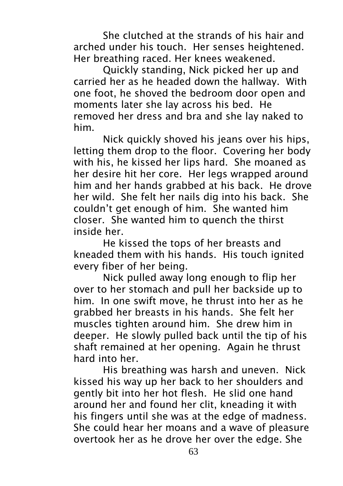She clutched at the strands of his hair and arched under his touch. Her senses heightened. Her breathing raced. Her knees weakened.

Quickly standing, Nick picked her up and carried her as he headed down the hallway. With one foot, he shoved the bedroom door open and moments later she lay across his bed. He removed her dress and bra and she lay naked to him.

Nick quickly shoved his jeans over his hips, letting them drop to the floor. Covering her body with his, he kissed her lips hard. She moaned as her desire hit her core. Her legs wrapped around him and her hands grabbed at his back. He drove her wild. She felt her nails dig into his back. She couldn't get enough of him. She wanted him closer. She wanted him to quench the thirst inside her.

He kissed the tops of her breasts and kneaded them with his hands. His touch ignited every fiber of her being.

Nick pulled away long enough to flip her over to her stomach and pull her backside up to him. In one swift move, he thrust into her as he grabbed her breasts in his hands. She felt her muscles tighten around him. She drew him in deeper. He slowly pulled back until the tip of his shaft remained at her opening. Again he thrust hard into her.

His breathing was harsh and uneven. Nick kissed his way up her back to her shoulders and gently bit into her hot flesh. He slid one hand around her and found her clit, kneading it with his fingers until she was at the edge of madness. She could hear her moans and a wave of pleasure overtook her as he drove her over the edge. She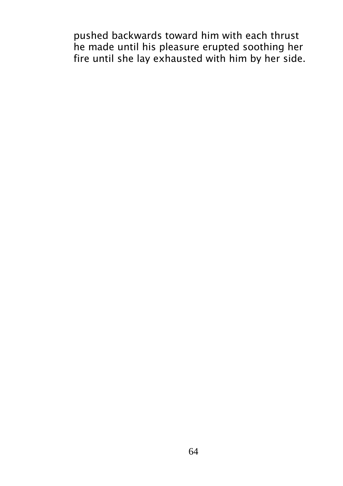pushed backwards toward him with each thrust he made until his pleasure erupted soothing her fire until she lay exhausted with him by her side.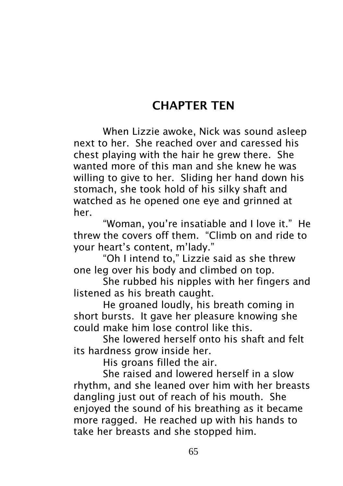### CHAPTER TEN

When Lizzie awoke, Nick was sound asleep next to her. She reached over and caressed his chest playing with the hair he grew there. She wanted more of this man and she knew he was willing to give to her. Sliding her hand down his stomach, she took hold of his silky shaft and watched as he opened one eye and grinned at her.

"Woman, you're insatiable and I love it." He threw the covers off them. "Climb on and ride to your heart's content, m'lady."

"Oh I intend to," Lizzie said as she threw one leg over his body and climbed on top.

She rubbed his nipples with her fingers and listened as his breath caught.

He groaned loudly, his breath coming in short bursts. It gave her pleasure knowing she could make him lose control like this.

She lowered herself onto his shaft and felt its hardness grow inside her.

His groans filled the air.

She raised and lowered herself in a slow rhythm, and she leaned over him with her breasts dangling just out of reach of his mouth. She enjoyed the sound of his breathing as it became more ragged. He reached up with his hands to take her breasts and she stopped him.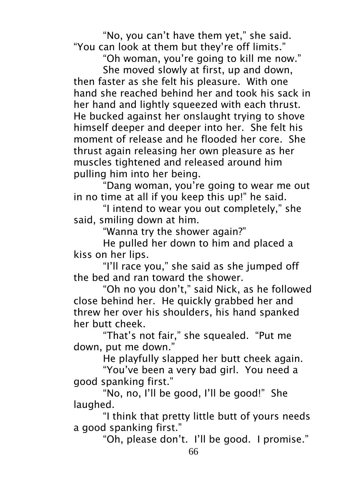"No, you can't have them yet," she said. "You can look at them but they're off limits."

"Oh woman, you're going to kill me now." She moved slowly at first, up and down, then faster as she felt his pleasure. With one hand she reached behind her and took his sack in her hand and lightly squeezed with each thrust. He bucked against her onslaught trying to shove himself deeper and deeper into her. She felt his moment of release and he flooded her core. She thrust again releasing her own pleasure as her muscles tightened and released around him pulling him into her being.

"Dang woman, you're going to wear me out in no time at all if you keep this up!" he said.

"I intend to wear you out completely," she said, smiling down at him.

"Wanna try the shower again?"

He pulled her down to him and placed a kiss on her lips.

"I'll race you," she said as she jumped off the bed and ran toward the shower.

"Oh no you don't," said Nick, as he followed close behind her. He quickly grabbed her and threw her over his shoulders, his hand spanked her butt cheek.

"That's not fair," she squealed. "Put me down, put me down."

He playfully slapped her butt cheek again.

"You've been a very bad girl. You need a good spanking first."

"No, no, I'll be good, I'll be good!" She laughed.

"I think that pretty little butt of yours needs a good spanking first."

"Oh, please don't. I'll be good. I promise."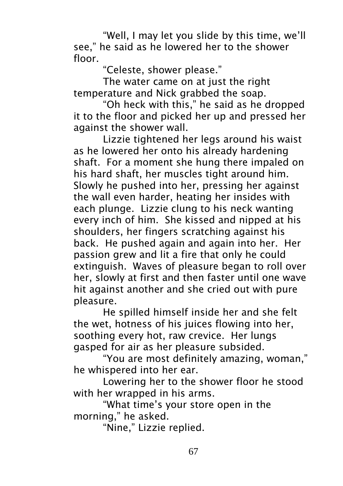"Well, I may let you slide by this time, we'll see," he said as he lowered her to the shower floor.

"Celeste, shower please."

The water came on at just the right temperature and Nick grabbed the soap.

"Oh heck with this," he said as he dropped it to the floor and picked her up and pressed her against the shower wall.

Lizzie tightened her legs around his waist as he lowered her onto his already hardening shaft. For a moment she hung there impaled on his hard shaft, her muscles tight around him. Slowly he pushed into her, pressing her against the wall even harder, heating her insides with each plunge. Lizzie clung to his neck wanting every inch of him. She kissed and nipped at his shoulders, her fingers scratching against his back. He pushed again and again into her. Her passion grew and lit a fire that only he could extinguish. Waves of pleasure began to roll over her, slowly at first and then faster until one wave hit against another and she cried out with pure pleasure.

He spilled himself inside her and she felt the wet, hotness of his juices flowing into her, soothing every hot, raw crevice. Her lungs gasped for air as her pleasure subsided.

"You are most definitely amazing, woman," he whispered into her ear.

Lowering her to the shower floor he stood with her wrapped in his arms.

"What time's your store open in the morning," he asked.

"Nine," Lizzie replied.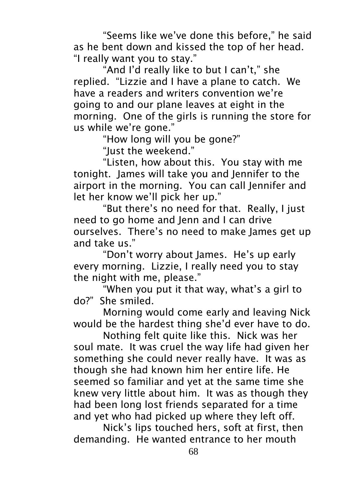"Seems like we've done this before," he said as he bent down and kissed the top of her head. "I really want you to stay."

"And I'd really like to but I can't," she replied. "Lizzie and I have a plane to catch. We have a readers and writers convention we're going to and our plane leaves at eight in the morning. One of the girls is running the store for us while we're gone."

"How long will you be gone?"

"Just the weekend."

"Listen, how about this. You stay with me tonight. James will take you and Jennifer to the airport in the morning. You can call Jennifer and let her know we'll pick her up."

"But there's no need for that. Really, I just need to go home and Jenn and I can drive ourselves. There's no need to make James get up and take us."

"Don't worry about James. He's up early every morning. Lizzie, I really need you to stay the night with me, please."

"When you put it that way, what's a girl to do?" She smiled.

Morning would come early and leaving Nick would be the hardest thing she'd ever have to do.

Nothing felt quite like this. Nick was her soul mate. It was cruel the way life had given her something she could never really have. It was as though she had known him her entire life. He seemed so familiar and yet at the same time she knew very little about him. It was as though they had been long lost friends separated for a time and yet who had picked up where they left off.

Nick's lips touched hers, soft at first, then demanding. He wanted entrance to her mouth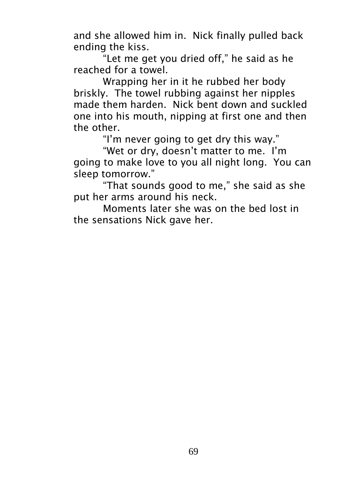and she allowed him in. Nick finally pulled back ending the kiss.

"Let me get you dried off," he said as he reached for a towel.

Wrapping her in it he rubbed her body briskly. The towel rubbing against her nipples made them harden. Nick bent down and suckled one into his mouth, nipping at first one and then the other.

"I'm never going to get dry this way."

"Wet or dry, doesn't matter to me. I'm going to make love to you all night long. You can sleep tomorrow."

"That sounds good to me," she said as she put her arms around his neck.

Moments later she was on the bed lost in the sensations Nick gave her.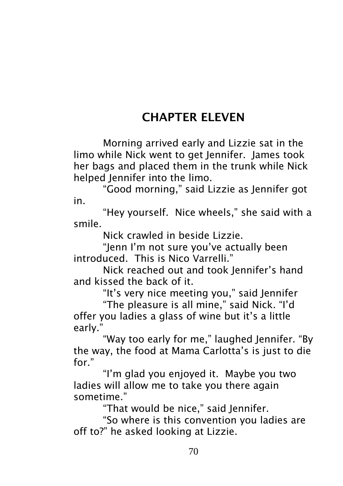## CHAPTER ELEVEN

Morning arrived early and Lizzie sat in the limo while Nick went to get Jennifer. James took her bags and placed them in the trunk while Nick helped Jennifer into the limo.

"Good morning," said Lizzie as Jennifer got in.

"Hey yourself. Nice wheels," she said with a smile.

Nick crawled in beside Lizzie.

"Jenn I'm not sure you've actually been introduced. This is Nico Varrelli."

Nick reached out and took Jennifer's hand and kissed the back of it.

"It's very nice meeting you," said Jennifer

"The pleasure is all mine," said Nick. "I'd offer you ladies a glass of wine but it's a little early."

"Way too early for me," laughed Jennifer. "By the way, the food at Mama Carlotta's is just to die for."

"I'm glad you enjoyed it. Maybe you two ladies will allow me to take you there again sometime."

"That would be nice," said Jennifer.

"So where is this convention you ladies are off to?" he asked looking at Lizzie.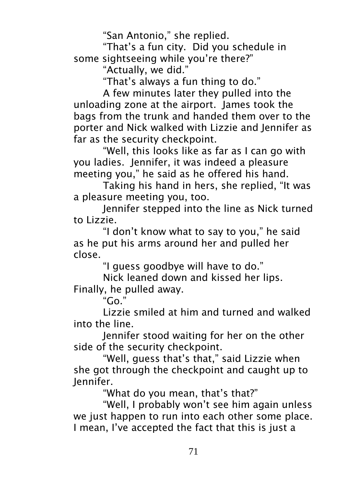"San Antonio," she replied.

"That's a fun city. Did you schedule in some sightseeing while you're there?"

"Actually, we did."

"That's always a fun thing to do."

A few minutes later they pulled into the unloading zone at the airport. James took the bags from the trunk and handed them over to the porter and Nick walked with Lizzie and Jennifer as far as the security checkpoint.

"Well, this looks like as far as I can go with you ladies. Jennifer, it was indeed a pleasure meeting you," he said as he offered his hand.

Taking his hand in hers, she replied, "It was a pleasure meeting you, too.

Jennifer stepped into the line as Nick turned to Lizzie.

"I don't know what to say to you," he said as he put his arms around her and pulled her close.

"I guess goodbye will have to do."

Nick leaned down and kissed her lips. Finally, he pulled away.

" $Go$ "

Lizzie smiled at him and turned and walked into the line.

Jennifer stood waiting for her on the other side of the security checkpoint.

"Well, guess that's that," said Lizzie when she got through the checkpoint and caught up to Jennifer.

"What do you mean, that's that?"

"Well, I probably won't see him again unless we just happen to run into each other some place. I mean, I've accepted the fact that this is just a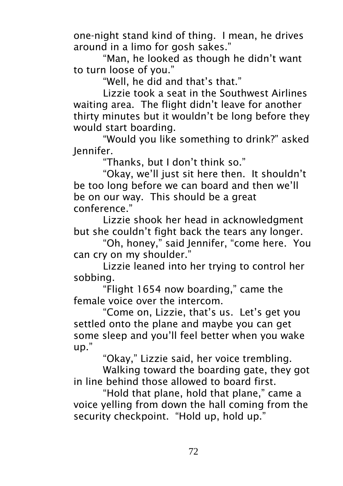one-night stand kind of thing. I mean, he drives around in a limo for gosh sakes."

"Man, he looked as though he didn't want to turn loose of you."

"Well, he did and that's that."

Lizzie took a seat in the Southwest Airlines waiting area. The flight didn't leave for another thirty minutes but it wouldn't be long before they would start boarding.

"Would you like something to drink?" asked Jennifer.

"Thanks, but I don't think so."

"Okay, we'll just sit here then. It shouldn't be too long before we can board and then we'll be on our way. This should be a great conference."

Lizzie shook her head in acknowledgment but she couldn't fight back the tears any longer.

"Oh, honey," said Jennifer, "come here. You can cry on my shoulder."

Lizzie leaned into her trying to control her sobbing.

"Flight 1654 now boarding," came the female voice over the intercom.

"Come on, Lizzie, that's us. Let's get you settled onto the plane and maybe you can get some sleep and you'll feel better when you wake up."

"Okay," Lizzie said, her voice trembling.

Walking toward the boarding gate, they got in line behind those allowed to board first.

"Hold that plane, hold that plane," came a voice yelling from down the hall coming from the security checkpoint. "Hold up, hold up."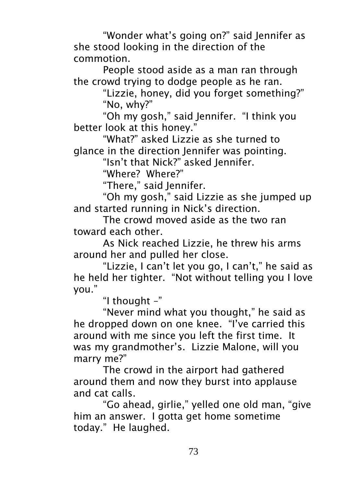"Wonder what's going on?" said Jennifer as she stood looking in the direction of the commotion.

People stood aside as a man ran through the crowd trying to dodge people as he ran.

> "Lizzie, honey, did you forget something?" "No, why?"

"Oh my gosh," said Jennifer. "I think you better look at this honey."

"What?" asked Lizzie as she turned to glance in the direction Jennifer was pointing.

"Isn't that Nick?" asked Jennifer.

"Where? Where?"

"There," said Jennifer.

"Oh my gosh," said Lizzie as she jumped up and started running in Nick's direction.

The crowd moved aside as the two ran toward each other.

As Nick reached Lizzie, he threw his arms around her and pulled her close.

"Lizzie, I can't let you go, I can't," he said as he held her tighter. "Not without telling you I love you."

"I thought –"

"Never mind what you thought," he said as he dropped down on one knee. "I've carried this around with me since you left the first time. It was my grandmother's. Lizzie Malone, will you marry me?"

The crowd in the airport had gathered around them and now they burst into applause and cat calls.

"Go ahead, girlie," yelled one old man, "give him an answer. I gotta get home sometime today." He laughed.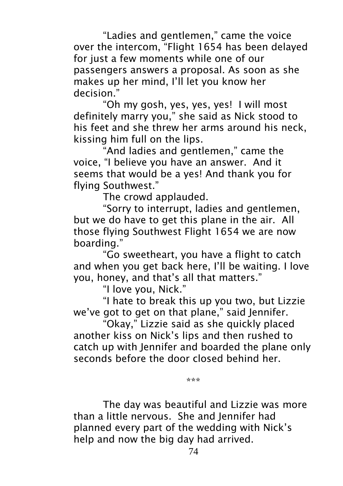"Ladies and gentlemen," came the voice over the intercom, "Flight 1654 has been delayed for just a few moments while one of our passengers answers a proposal. As soon as she makes up her mind, I'll let you know her decision."

"Oh my gosh, yes, yes, yes! I will most definitely marry you," she said as Nick stood to his feet and she threw her arms around his neck, kissing him full on the lips.

"And ladies and gentlemen," came the voice, "I believe you have an answer. And it seems that would be a yes! And thank you for flying Southwest."

The crowd applauded.

"Sorry to interrupt, ladies and gentlemen, but we do have to get this plane in the air. All those flying Southwest Flight 1654 we are now boarding."

"Go sweetheart, you have a flight to catch and when you get back here, I'll be waiting. I love you, honey, and that's all that matters."

"I love you, Nick."

"I hate to break this up you two, but Lizzie we've got to get on that plane," said Jennifer.

"Okay," Lizzie said as she quickly placed another kiss on Nick's lips and then rushed to catch up with Jennifer and boarded the plane only seconds before the door closed behind her.

\*\*\*

The day was beautiful and Lizzie was more than a little nervous. She and Jennifer had planned every part of the wedding with Nick's help and now the big day had arrived.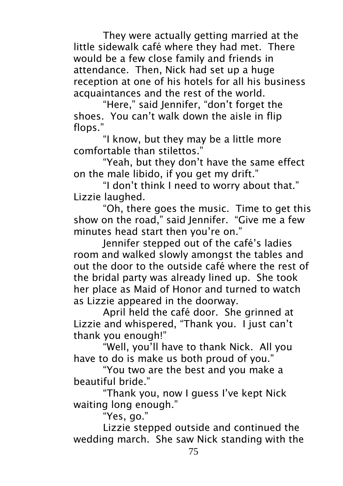They were actually getting married at the little sidewalk café where they had met. There would be a few close family and friends in attendance. Then, Nick had set up a huge reception at one of his hotels for all his business acquaintances and the rest of the world.

"Here," said Jennifer, "don't forget the shoes. You can't walk down the aisle in flip flops."

"I know, but they may be a little more comfortable than stilettos."

"Yeah, but they don't have the same effect on the male libido, if you get my drift."

"I don't think I need to worry about that." Lizzie laughed.

"Oh, there goes the music. Time to get this show on the road," said Jennifer. "Give me a few minutes head start then you're on."

Jennifer stepped out of the café's ladies room and walked slowly amongst the tables and out the door to the outside café where the rest of the bridal party was already lined up. She took her place as Maid of Honor and turned to watch as Lizzie appeared in the doorway.

April held the café door. She grinned at Lizzie and whispered, "Thank you. I just can't thank you enough!"

"Well, you'll have to thank Nick. All you have to do is make us both proud of you."

"You two are the best and you make a beautiful bride."

"Thank you, now I guess I've kept Nick waiting long enough."

"Yes, go."

Lizzie stepped outside and continued the wedding march. She saw Nick standing with the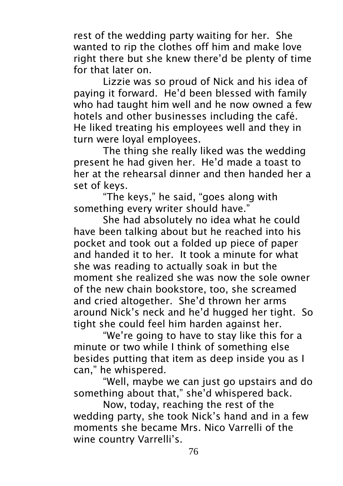rest of the wedding party waiting for her. She wanted to rip the clothes off him and make love right there but she knew there'd be plenty of time for that later on.

Lizzie was so proud of Nick and his idea of paying it forward. He'd been blessed with family who had taught him well and he now owned a few hotels and other businesses including the café. He liked treating his employees well and they in turn were loyal employees.

The thing she really liked was the wedding present he had given her. He'd made a toast to her at the rehearsal dinner and then handed her a set of keys.

"The keys," he said, "goes along with something every writer should have."

She had absolutely no idea what he could have been talking about but he reached into his pocket and took out a folded up piece of paper and handed it to her. It took a minute for what she was reading to actually soak in but the moment she realized she was now the sole owner of the new chain bookstore, too, she screamed and cried altogether. She'd thrown her arms around Nick's neck and he'd hugged her tight. So tight she could feel him harden against her.

"We're going to have to stay like this for a minute or two while I think of something else besides putting that item as deep inside you as I can," he whispered.

"Well, maybe we can just go upstairs and do something about that," she'd whispered back.

Now, today, reaching the rest of the wedding party, she took Nick's hand and in a few moments she became Mrs. Nico Varrelli of the wine country Varrelli's.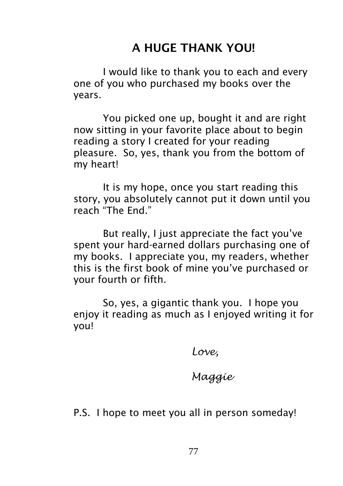## A HUGE THANK YOU!

I would like to thank you to each and every one of you who purchased my books over the years.

You picked one up, bought it and are right now sitting in your favorite place about to begin reading a story I created for your reading pleasure. So, yes, thank you from the bottom of my heart!

It is my hope, once you start reading this story, you absolutely cannot put it down until you reach "The End."

But really, I just appreciate the fact you've spent your hard-earned dollars purchasing one of my books. I appreciate you, my readers, whether this is the first book of mine you've purchased or your fourth or fifth.

So, yes, a gigantic thank you. I hope you enjoy it reading as much as I enjoyed writing it for you!

*Love,*

### *Maggie*

P.S. I hope to meet you all in person someday!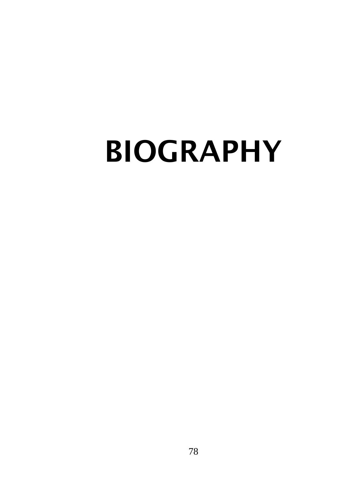# BIOGRAPHY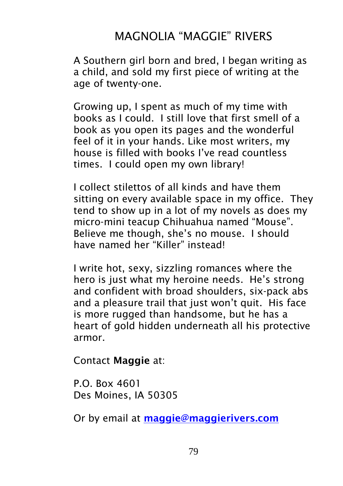## MAGNOLIA "MAGGIE" RIVERS

A Southern girl born and bred, I began writing as a child, and sold my first piece of writing at the age of twenty-one.

Growing up, I spent as much of my time with books as I could. I still love that first smell of a book as you open its pages and the wonderful feel of it in your hands. Like most writers, my house is filled with books I've read countless times. I could open my own library!

I collect stilettos of all kinds and have them sitting on every available space in my office. They tend to show up in a lot of my novels as does my micro-mini teacup Chihuahua named "Mouse". Believe me though, she's no mouse. I should have named her "Killer" instead!

I write hot, sexy, sizzling romances where the hero is just what my heroine needs. He's strong and confident with broad shoulders, six-pack abs and a pleasure trail that just won't quit. His face is more rugged than handsome, but he has a heart of gold hidden underneath all his protective armor.

Contact Maggie at:

P.O. Box 4601 Des Moines, IA 50305

Or by email at [maggie@maggierivers.com](mailto:maggie@maggierivers.com)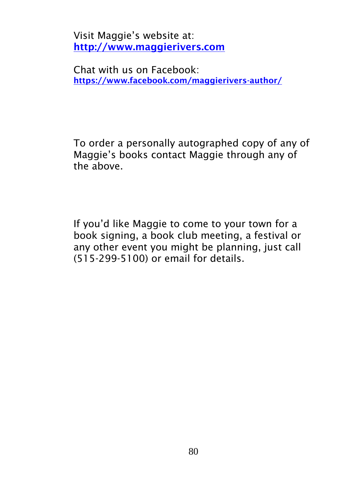Visit Maggie's website at: [http://www.maggierivers.com](http://www.maggierivers.com/)

Chat with us on Facebook: <https://www.facebook.com/maggierivers-author/>

To order a personally autographed copy of any of Maggie's books contact Maggie through any of the above.

If you'd like Maggie to come to your town for a book signing, a book club meeting, a festival or any other event you might be planning, just call (515-299-5100) or email for details.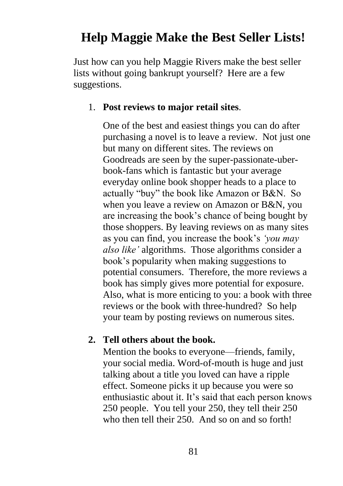## **Help Maggie Make the Best Seller Lists!**

Just how can you help Maggie Rivers make the best seller lists without going bankrupt yourself? Here are a few suggestions.

#### 1. **Post reviews to major retail sites**.

One of the best and easiest things you can do after purchasing a novel is to leave a review. Not just one but many on different sites. The reviews on Goodreads are seen by the super-passionate-uberbook-fans which is fantastic but your average everyday online book shopper heads to a place to actually "buy" the book like Amazon or B&N. So when you leave a review on Amazon or B&N, you are increasing the book's chance of being bought by those shoppers. By leaving reviews on as many sites as you can find, you increase the book's *'you may also like'* algorithms. Those algorithms consider a book's popularity when making suggestions to potential consumers. Therefore, the more reviews a book has simply gives more potential for exposure. Also, what is more enticing to you: a book with three reviews or the book with three-hundred? So help your team by posting reviews on numerous sites.

#### **2. Tell others about the book.**

Mention the books to everyone—friends, family, your social media. Word-of-mouth is huge and just talking about a title you loved can have a ripple effect. Someone picks it up because you were so enthusiastic about it. It's said that each person knows 250 people. You tell your 250, they tell their 250 who then tell their 250. And so on and so forth!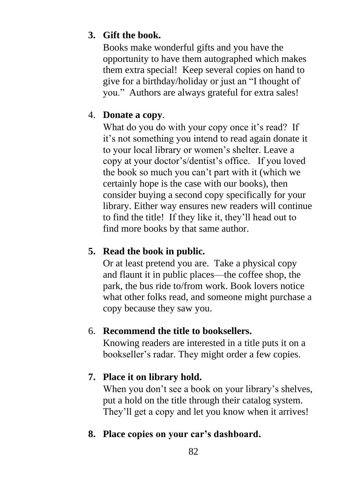#### **3. Gift the book.**

Books make wonderful gifts and you have the opportunity to have them autographed which makes them extra special! Keep several copies on hand to give for a birthday/holiday or just an "I thought of you." Authors are always grateful for extra sales!

#### 4. **Donate a copy**.

What do you do with your copy once it's read? If it's not something you intend to read again donate it to your local library or women's shelter. Leave a copy at your doctor's/dentist's office. If you loved the book so much you can't part with it (which we certainly hope is the case with our books), then consider buying a second copy specifically for your library. Either way ensures new readers will continue to find the title! If they like it, they'll head out to find more books by that same author.

#### **5. Read the book in public.**

Or at least pretend you are. Take a physical copy and flaunt it in public places—the coffee shop, the park, the bus ride to/from work. Book lovers notice what other folks read, and someone might purchase a copy because they saw you.

#### 6. **Recommend the title to booksellers.**

Knowing readers are interested in a title puts it on a bookseller's radar. They might order a few copies.

#### **7. Place it on library hold.**

When you don't see a book on your library's shelves, put a hold on the title through their catalog system. They'll get a copy and let you know when it arrives!

#### **8. Place copies on your car's dashboard.**